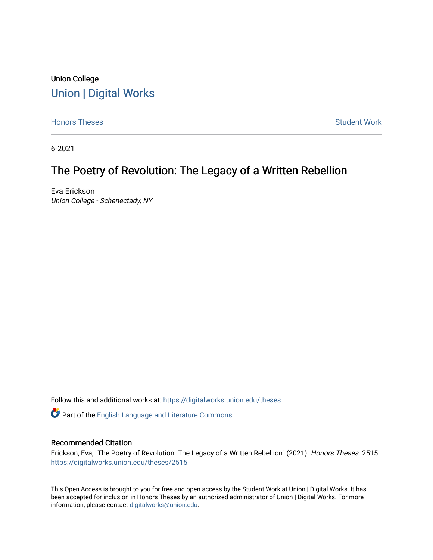### Union College [Union | Digital Works](https://digitalworks.union.edu/)

[Honors Theses](https://digitalworks.union.edu/theses) **Student Work** [Student Work](https://digitalworks.union.edu/studentwork) **Student Work** Student Work

6-2021

## The Poetry of Revolution: The Legacy of a Written Rebellion

Eva Erickson Union College - Schenectady, NY

Follow this and additional works at: [https://digitalworks.union.edu/theses](https://digitalworks.union.edu/theses?utm_source=digitalworks.union.edu%2Ftheses%2F2515&utm_medium=PDF&utm_campaign=PDFCoverPages) 

Part of the [English Language and Literature Commons](http://network.bepress.com/hgg/discipline/455?utm_source=digitalworks.union.edu%2Ftheses%2F2515&utm_medium=PDF&utm_campaign=PDFCoverPages)

#### Recommended Citation

Erickson, Eva, "The Poetry of Revolution: The Legacy of a Written Rebellion" (2021). Honors Theses. 2515. [https://digitalworks.union.edu/theses/2515](https://digitalworks.union.edu/theses/2515?utm_source=digitalworks.union.edu%2Ftheses%2F2515&utm_medium=PDF&utm_campaign=PDFCoverPages)

This Open Access is brought to you for free and open access by the Student Work at Union | Digital Works. It has been accepted for inclusion in Honors Theses by an authorized administrator of Union | Digital Works. For more information, please contact [digitalworks@union.edu.](mailto:digitalworks@union.edu)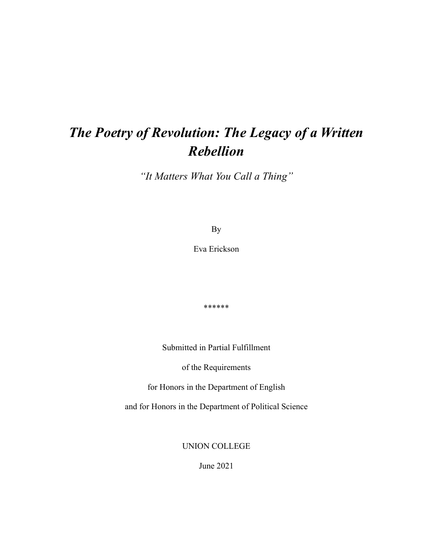# *The Poetry of Revolution: The Legacy of a Written Rebellion*

*"It Matters What You Call a Thing"*

By

Eva Erickson

\*\*\*\*\*\*

Submitted in Partial Fulfillment

of the Requirements

for Honors in the Department of English

and for Honors in the Department of Political Science

UNION COLLEGE

June 2021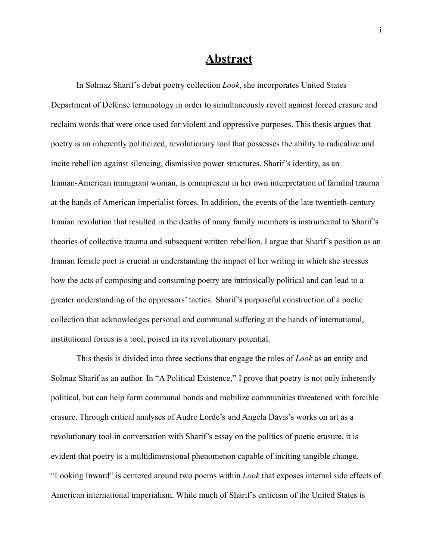### **Abstract**

In Solmaz Sharif's debut poetry collection *Look*, she incorporates United States Department of Defense terminology in order to simultaneously revolt against forced erasure and reclaim words that were once used for violent and oppressive purposes. This thesis argues that poetry is an inherently politicized, revolutionary tool that possesses the ability to radicalize and incite rebellion against silencing, dismissive power structures. Sharif's identity, as an Iranian-American immigrant woman, is omnipresent in her own interpretation of familial trauma at the hands of American imperialist forces. In addition, the events of the late twentieth-century Iranian revolution that resulted in the deaths of many family members is instrumental to Sharif's theories of collective trauma and subsequent written rebellion. I argue that Sharif's position as an Iranian female poet is crucial in understanding the impact of her writing in which she stresses how the acts of composing and consuming poetry are intrinsically political and can lead to a greater understanding of the oppressors' tactics. Sharif's purposeful construction of a poetic collection that acknowledges personal and communal suffering at the hands of international, institutional forces is a tool, poised in its revolutionary potential.

This thesis is divided into three sections that engage the roles of *Look* as an entity and Solmaz Sharif as an author. In "A Political Existence," I prove that poetry is not only inherently political, but can help form communal bonds and mobilize communities threatened with forcible erasure. Through critical analyses of Audre Lorde's and Angela Davis's works on art as a revolutionary tool in conversation with Sharif's essay on the politics of poetic erasure, it is evident that poetry is a multidimensional phenomenon capable of inciting tangible change. "Looking Inward" is centered around two poems within *Look* that exposes internal side effects of American international imperialism. While much of Sharif's criticism of the United States is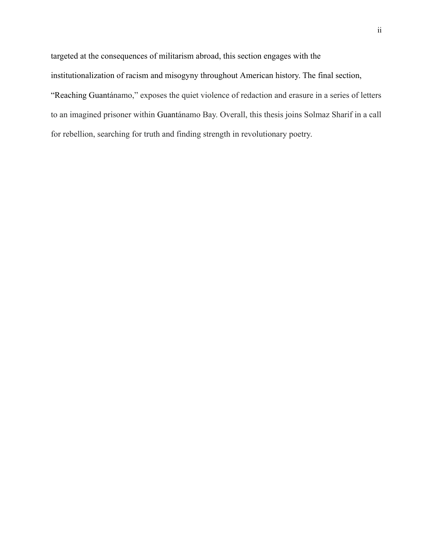targeted at the consequences of militarism abroad, this section engages with the institutionalization of racism and misogyny throughout American history. The final section, "Reaching Guantánamo," exposes the quiet violence of redaction and erasure in a series of letters to an imagined prisoner within Guantánamo Bay. Overall, this thesis joins Solmaz Sharif in a call for rebellion, searching for truth and finding strength in revolutionary poetry.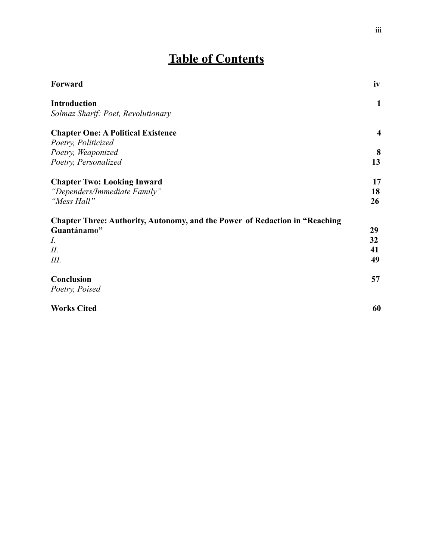# **Table of Contents**

| Forward                                                                            | iv                      |
|------------------------------------------------------------------------------------|-------------------------|
| <b>Introduction</b>                                                                | $\mathbf{1}$            |
| Solmaz Sharif: Poet, Revolutionary                                                 |                         |
| <b>Chapter One: A Political Existence</b>                                          | $\overline{\mathbf{4}}$ |
| Poetry, Politicized                                                                |                         |
| Poetry, Weaponized                                                                 | 8                       |
| Poetry, Personalized                                                               | 13                      |
| <b>Chapter Two: Looking Inward</b>                                                 | 17                      |
| "Dependers/Immediate Family"                                                       | 18                      |
| "Mess Hall"                                                                        | 26                      |
| <b>Chapter Three: Authority, Autonomy, and the Power of Redaction in "Reaching</b> |                         |
| Guantánamo"                                                                        | 29                      |
| I.                                                                                 | 32                      |
| II.                                                                                | 41                      |
| Ш.                                                                                 | 49                      |
| Conclusion                                                                         | 57                      |
| Poetry, Poised                                                                     |                         |
| <b>Works Cited</b>                                                                 | 60                      |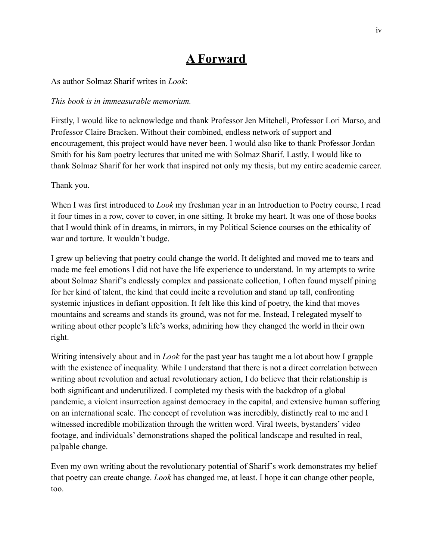# **A Forward**

As author Solmaz Sharif writes in *Look*:

#### *This book is in immeasurable memorium.*

Firstly, I would like to acknowledge and thank Professor Jen Mitchell, Professor Lori Marso, and Professor Claire Bracken. Without their combined, endless network of support and encouragement, this project would have never been. I would also like to thank Professor Jordan Smith for his 8am poetry lectures that united me with Solmaz Sharif. Lastly, I would like to thank Solmaz Sharif for her work that inspired not only my thesis, but my entire academic career.

#### Thank you.

When I was first introduced to *Look* my freshman year in an Introduction to Poetry course, I read it four times in a row, cover to cover, in one sitting. It broke my heart. It was one of those books that I would think of in dreams, in mirrors, in my Political Science courses on the ethicality of war and torture. It wouldn't budge.

I grew up believing that poetry could change the world. It delighted and moved me to tears and made me feel emotions I did not have the life experience to understand. In my attempts to write about Solmaz Sharif's endlessly complex and passionate collection, I often found myself pining for her kind of talent, the kind that could incite a revolution and stand up tall, confronting systemic injustices in defiant opposition. It felt like this kind of poetry, the kind that moves mountains and screams and stands its ground, was not for me. Instead, I relegated myself to writing about other people's life's works, admiring how they changed the world in their own right.

Writing intensively about and in *Look* for the past year has taught me a lot about how I grapple with the existence of inequality. While I understand that there is not a direct correlation between writing about revolution and actual revolutionary action, I do believe that their relationship is both significant and underutilized. I completed my thesis with the backdrop of a global pandemic, a violent insurrection against democracy in the capital, and extensive human suffering on an international scale. The concept of revolution was incredibly, distinctly real to me and I witnessed incredible mobilization through the written word. Viral tweets, bystanders' video footage, and individuals' demonstrations shaped the political landscape and resulted in real, palpable change.

Even my own writing about the revolutionary potential of Sharif's work demonstrates my belief that poetry can create change. *Look* has changed me, at least. I hope it can change other people, too.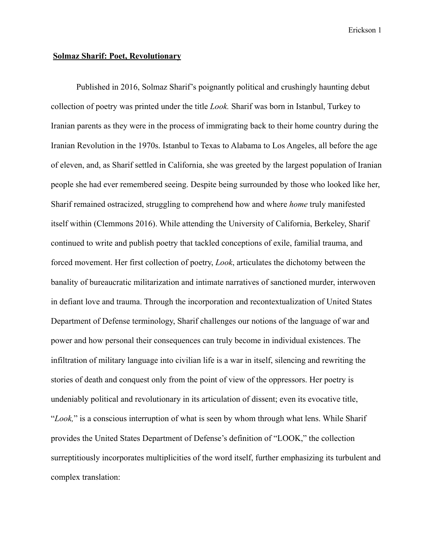#### **Solmaz Sharif: Poet, Revolutionary**

Published in 2016, Solmaz Sharif's poignantly political and crushingly haunting debut collection of poetry was printed under the title *Look.* Sharif was born in Istanbul, Turkey to Iranian parents as they were in the process of immigrating back to their home country during the Iranian Revolution in the 1970s. Istanbul to Texas to Alabama to Los Angeles, all before the age of eleven, and, as Sharif settled in California, she was greeted by the largest population of Iranian people she had ever remembered seeing. Despite being surrounded by those who looked like her, Sharif remained ostracized, struggling to comprehend how and where *home* truly manifested itself within (Clemmons 2016). While attending the University of California, Berkeley, Sharif continued to write and publish poetry that tackled conceptions of exile, familial trauma, and forced movement. Her first collection of poetry, *Look*, articulates the dichotomy between the banality of bureaucratic militarization and intimate narratives of sanctioned murder, interwoven in defiant love and trauma. Through the incorporation and recontextualization of United States Department of Defense terminology, Sharif challenges our notions of the language of war and power and how personal their consequences can truly become in individual existences. The infiltration of military language into civilian life is a war in itself, silencing and rewriting the stories of death and conquest only from the point of view of the oppressors. Her poetry is undeniably political and revolutionary in its articulation of dissent; even its evocative title, "*Look,*" is a conscious interruption of what is seen by whom through what lens. While Sharif provides the United States Department of Defense's definition of "LOOK," the collection surreptitiously incorporates multiplicities of the word itself, further emphasizing its turbulent and complex translation: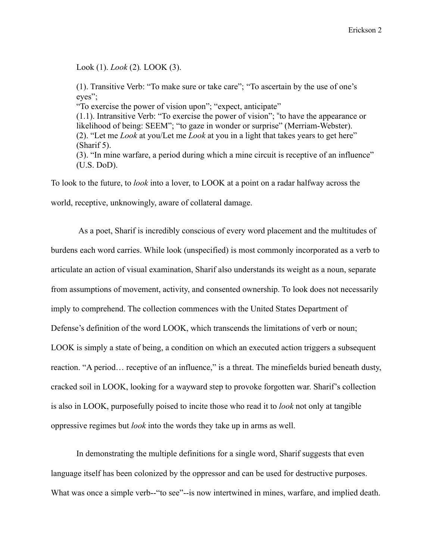Look (1). *Look* (2)*.* LOOK (3).

(1). Transitive Verb: "To make sure or take care"; "To ascertain by the use of one's eyes"; "To exercise the power of vision upon"; "expect, anticipate" (1.1). Intransitive Verb: "To exercise the power of vision"; "to have the appearance or likelihood of being: SEEM"; "to gaze in wonder or surprise" (Merriam-Webster). (2). "Let me *Look* at you/Let me *Look* at you in a light that takes years to get here" (Sharif 5). (3). "In mine warfare, a period during which a mine circuit is receptive of an influence" (U.S. DoD).

To look to the future, to *look* into a lover, to LOOK at a point on a radar halfway across the world, receptive, unknowingly, aware of collateral damage.

As a poet, Sharif is incredibly conscious of every word placement and the multitudes of burdens each word carries. While look (unspecified) is most commonly incorporated as a verb to articulate an action of visual examination, Sharif also understands its weight as a noun, separate from assumptions of movement, activity, and consented ownership. To look does not necessarily imply to comprehend. The collection commences with the United States Department of Defense's definition of the word LOOK, which transcends the limitations of verb or noun; LOOK is simply a state of being, a condition on which an executed action triggers a subsequent reaction. "A period... receptive of an influence," is a threat. The minefields buried beneath dusty, cracked soil in LOOK, looking for a wayward step to provoke forgotten war. Sharif's collection is also in LOOK, purposefully poised to incite those who read it to *look* not only at tangible oppressive regimes but *look* into the words they take up in arms as well.

In demonstrating the multiple definitions for a single word, Sharif suggests that even language itself has been colonized by the oppressor and can be used for destructive purposes. What was once a simple verb--"to see"--is now intertwined in mines, warfare, and implied death.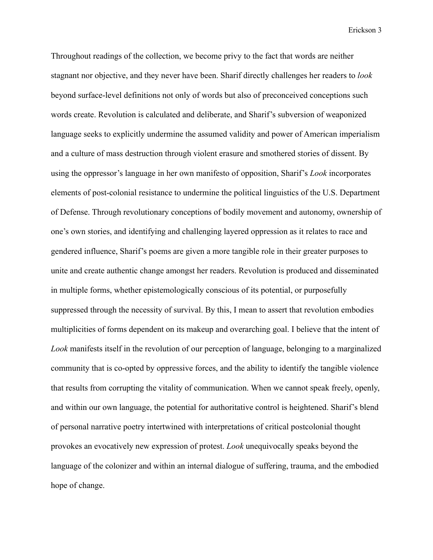Throughout readings of the collection, we become privy to the fact that words are neither stagnant nor objective, and they never have been. Sharif directly challenges her readers to *look* beyond surface-level definitions not only of words but also of preconceived conceptions such words create. Revolution is calculated and deliberate, and Sharif's subversion of weaponized language seeks to explicitly undermine the assumed validity and power of American imperialism and a culture of mass destruction through violent erasure and smothered stories of dissent. By using the oppressor's language in her own manifesto of opposition, Sharif's *Look* incorporates elements of post-colonial resistance to undermine the political linguistics of the U.S. Department of Defense. Through revolutionary conceptions of bodily movement and autonomy, ownership of one's own stories, and identifying and challenging layered oppression as it relates to race and gendered influence, Sharif's poems are given a more tangible role in their greater purposes to unite and create authentic change amongst her readers. Revolution is produced and disseminated in multiple forms, whether epistemologically conscious of its potential, or purposefully suppressed through the necessity of survival. By this, I mean to assert that revolution embodies multiplicities of forms dependent on its makeup and overarching goal. I believe that the intent of *Look* manifests itself in the revolution of our perception of language, belonging to a marginalized community that is co-opted by oppressive forces, and the ability to identify the tangible violence that results from corrupting the vitality of communication. When we cannot speak freely, openly, and within our own language, the potential for authoritative control is heightened. Sharif's blend of personal narrative poetry intertwined with interpretations of critical postcolonial thought provokes an evocatively new expression of protest. *Look* unequivocally speaks beyond the language of the colonizer and within an internal dialogue of suffering, trauma, and the embodied hope of change.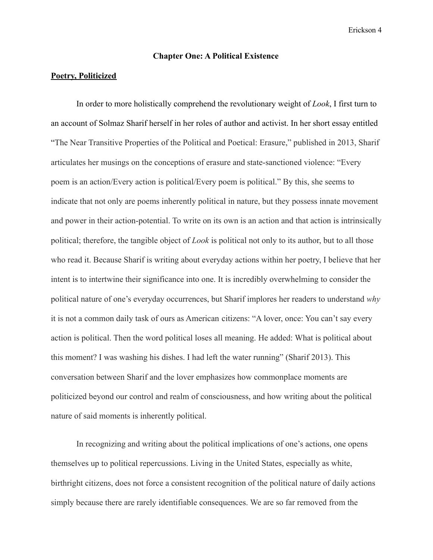#### **Chapter One: A Political Existence**

#### **Poetry, Politicized**

In order to more holistically comprehend the revolutionary weight of *Look*, I first turn to an account of Solmaz Sharif herself in her roles of author and activist. In her short essay entitled "The Near Transitive Properties of the Political and Poetical: Erasure," published in 2013, Sharif articulates her musings on the conceptions of erasure and state-sanctioned violence: "Every poem is an action/Every action is political/Every poem is political." By this, she seems to indicate that not only are poems inherently political in nature, but they possess innate movement and power in their action-potential. To write on its own is an action and that action is intrinsically political; therefore, the tangible object of *Look* is political not only to its author, but to all those who read it. Because Sharif is writing about everyday actions within her poetry, I believe that her intent is to intertwine their significance into one. It is incredibly overwhelming to consider the political nature of one's everyday occurrences, but Sharif implores her readers to understand *why* it is not a common daily task of ours as American citizens: "A lover, once: You can't say every action is political. Then the word political loses all meaning. He added: What is political about this moment? I was washing his dishes. I had left the water running" (Sharif 2013). This conversation between Sharif and the lover emphasizes how commonplace moments are politicized beyond our control and realm of consciousness, and how writing about the political nature of said moments is inherently political.

In recognizing and writing about the political implications of one's actions, one opens themselves up to political repercussions. Living in the United States, especially as white, birthright citizens, does not force a consistent recognition of the political nature of daily actions simply because there are rarely identifiable consequences. We are so far removed from the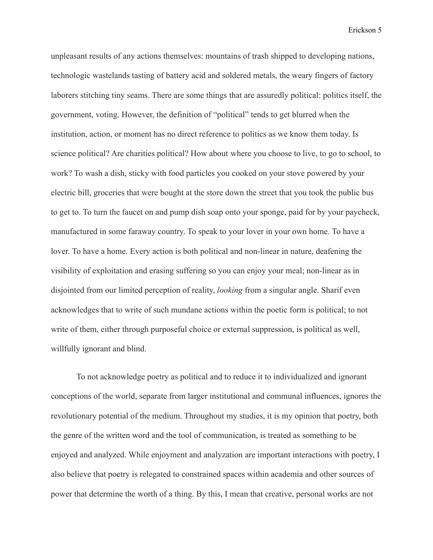unpleasant results of any actions themselves: mountains of trash shipped to developing nations, technologic wastelands tasting of battery acid and soldered metals, the weary fingers of factory laborers stitching tiny seams. There are some things that are assuredly political: politics itself, the government, voting. However, the definition of "political" tends to get blurred when the institution, action, or moment has no direct reference to politics as we know them today. Is science political? Are charities political? How about where you choose to live, to go to school, to work? To wash a dish, sticky with food particles you cooked on your stove powered by your electric bill, groceries that were bought at the store down the street that you took the public bus to get to. To turn the faucet on and pump dish soap onto your sponge, paid for by your paycheck, manufactured in some faraway country. To speak to your lover in your own home. To have a lover. To have a home. Every action is both political and non-linear in nature, deafening the visibility of exploitation and erasing suffering so you can enjoy your meal; non-linear as in disjointed from our limited perception of reality, *looking* from a singular angle. Sharif even acknowledges that to write of such mundane actions within the poetic form is political; to not write of them, either through purposeful choice or external suppression, is political as well, willfully ignorant and blind.

To not acknowledge poetry as political and to reduce it to individualized and ignorant conceptions of the world, separate from larger institutional and communal influences, ignores the revolutionary potential of the medium. Throughout my studies, it is my opinion that poetry, both the genre of the written word and the tool of communication, is treated as something to be enjoyed and analyzed. While enjoyment and analyzation are important interactions with poetry, I also believe that poetry is relegated to constrained spaces within academia and other sources of power that determine the worth of a thing. By this, I mean that creative, personal works are not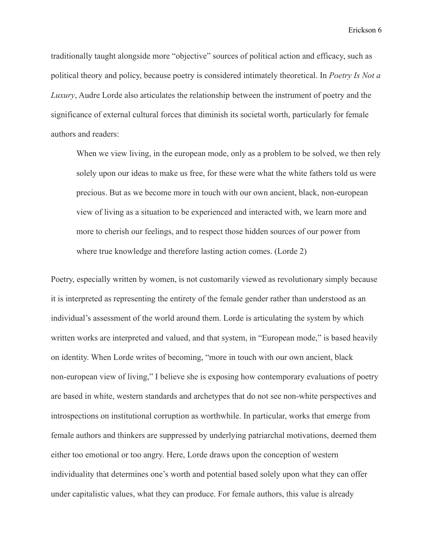traditionally taught alongside more "objective" sources of political action and efficacy, such as political theory and policy, because poetry is considered intimately theoretical. In *Poetry Is Not a Luxury*, Audre Lorde also articulates the relationship between the instrument of poetry and the significance of external cultural forces that diminish its societal worth, particularly for female authors and readers:

When we view living, in the european mode, only as a problem to be solved, we then rely solely upon our ideas to make us free, for these were what the white fathers told us were precious. But as we become more in touch with our own ancient, black, non-european view of living as a situation to be experienced and interacted with, we learn more and more to cherish our feelings, and to respect those hidden sources of our power from where true knowledge and therefore lasting action comes. (Lorde 2)

Poetry, especially written by women, is not customarily viewed as revolutionary simply because it is interpreted as representing the entirety of the female gender rather than understood as an individual's assessment of the world around them. Lorde is articulating the system by which written works are interpreted and valued, and that system, in "European mode," is based heavily on identity. When Lorde writes of becoming, "more in touch with our own ancient, black non-european view of living," I believe she is exposing how contemporary evaluations of poetry are based in white, western standards and archetypes that do not see non-white perspectives and introspections on institutional corruption as worthwhile. In particular, works that emerge from female authors and thinkers are suppressed by underlying patriarchal motivations, deemed them either too emotional or too angry. Here, Lorde draws upon the conception of western individuality that determines one's worth and potential based solely upon what they can offer under capitalistic values, what they can produce. For female authors, this value is already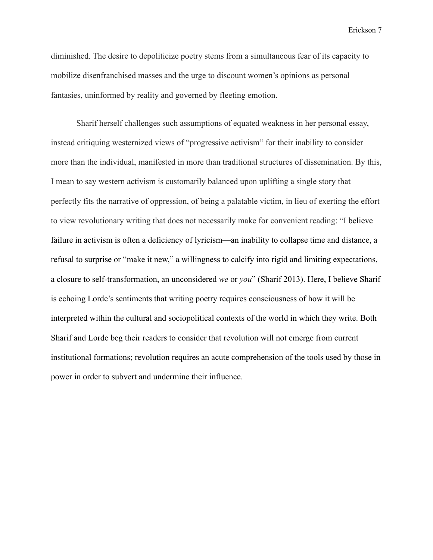diminished. The desire to depoliticize poetry stems from a simultaneous fear of its capacity to mobilize disenfranchised masses and the urge to discount women's opinions as personal fantasies, uninformed by reality and governed by fleeting emotion.

Sharif herself challenges such assumptions of equated weakness in her personal essay, instead critiquing westernized views of "progressive activism" for their inability to consider more than the individual, manifested in more than traditional structures of dissemination. By this, I mean to say western activism is customarily balanced upon uplifting a single story that perfectly fits the narrative of oppression, of being a palatable victim, in lieu of exerting the effort to view revolutionary writing that does not necessarily make for convenient reading: "I believe failure in activism is often a deficiency of lyricism—an inability to collapse time and distance, a refusal to surprise or "make it new," a willingness to calcify into rigid and limiting expectations, a closure to self-transformation, an unconsidered *we* or *you*" (Sharif 2013). Here, I believe Sharif is echoing Lorde's sentiments that writing poetry requires consciousness of how it will be interpreted within the cultural and sociopolitical contexts of the world in which they write. Both Sharif and Lorde beg their readers to consider that revolution will not emerge from current institutional formations; revolution requires an acute comprehension of the tools used by those in power in order to subvert and undermine their influence.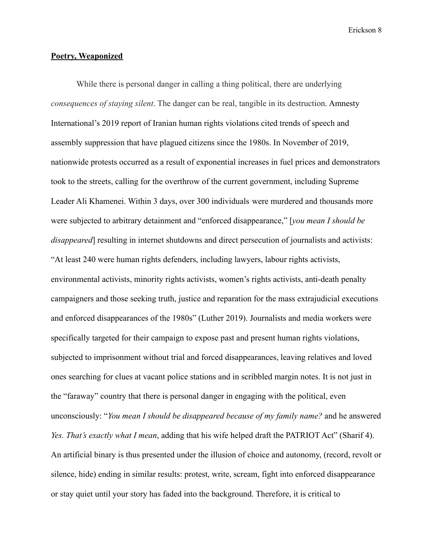#### **Poetry, Weaponized**

While there is personal danger in calling a thing political, there are underlying *consequences of staying silent*. The danger can be real, tangible in its destruction. Amnesty International's 2019 report of Iranian human rights violations cited trends of speech and assembly suppression that have plagued citizens since the 1980s. In November of 2019, nationwide protests occurred as a result of exponential increases in fuel prices and demonstrators took to the streets, calling for the overthrow of the current government, including Supreme Leader Ali Khamenei. Within 3 days, over 300 individuals were murdered and thousands more were subjected to arbitrary detainment and "enforced disappearance," [*you mean I should be disappeared*] resulting in internet shutdowns and direct persecution of journalists and activists: "At least 240 were human rights defenders, including lawyers, labour rights activists, environmental activists, minority rights activists, women's rights activists, anti-death penalty campaigners and those seeking truth, justice and reparation for the mass extrajudicial executions and enforced disappearances of the 1980s" (Luther 2019). Journalists and media workers were specifically targeted for their campaign to expose past and present human rights violations, subjected to imprisonment without trial and forced disappearances, leaving relatives and loved ones searching for clues at vacant police stations and in scribbled margin notes. It is not just in the "faraway" country that there is personal danger in engaging with the political, even unconsciously: "*You mean I should be disappeared because of my family name?* and he answered *Yes. That's exactly what I mean*, adding that his wife helped draft the PATRIOT Act" (Sharif 4). An artificial binary is thus presented under the illusion of choice and autonomy, (record, revolt or silence, hide) ending in similar results: protest, write, scream, fight into enforced disappearance or stay quiet until your story has faded into the background. Therefore, it is critical to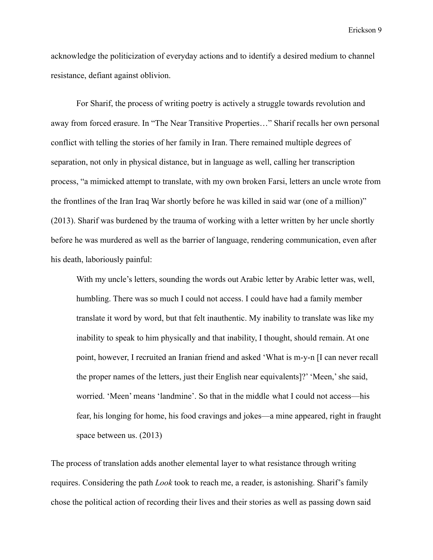acknowledge the politicization of everyday actions and to identify a desired medium to channel resistance, defiant against oblivion.

For Sharif, the process of writing poetry is actively a struggle towards revolution and away from forced erasure. In "The Near Transitive Properties…" Sharif recalls her own personal conflict with telling the stories of her family in Iran. There remained multiple degrees of separation, not only in physical distance, but in language as well, calling her transcription process, "a mimicked attempt to translate, with my own broken Farsi, letters an uncle wrote from the frontlines of the Iran Iraq War shortly before he was killed in said war (one of a million)" (2013). Sharif was burdened by the trauma of working with a letter written by her uncle shortly before he was murdered as well as the barrier of language, rendering communication, even after his death, laboriously painful:

With my uncle's letters, sounding the words out Arabic letter by Arabic letter was, well, humbling. There was so much I could not access. I could have had a family member translate it word by word, but that felt inauthentic. My inability to translate was like my inability to speak to him physically and that inability, I thought, should remain. At one point, however, I recruited an Iranian friend and asked 'What is m-y-n [I can never recall the proper names of the letters, just their English near equivalents]?' 'Meen,' she said, worried. 'Meen' means 'landmine'. So that in the middle what I could not access—his fear, his longing for home, his food cravings and jokes—a mine appeared, right in fraught space between us. (2013)

The process of translation adds another elemental layer to what resistance through writing requires. Considering the path *Look* took to reach me, a reader, is astonishing. Sharif's family chose the political action of recording their lives and their stories as well as passing down said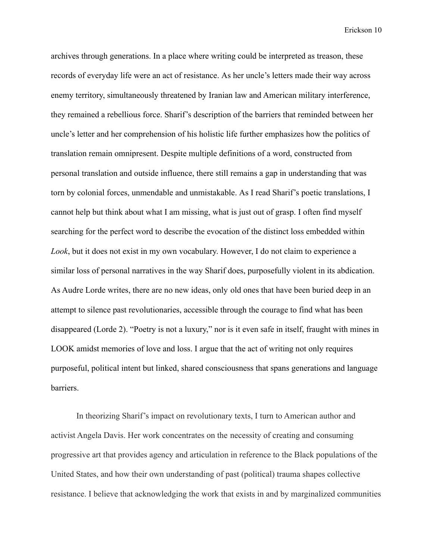archives through generations. In a place where writing could be interpreted as treason, these records of everyday life were an act of resistance. As her uncle's letters made their way across enemy territory, simultaneously threatened by Iranian law and American military interference, they remained a rebellious force. Sharif's description of the barriers that reminded between her uncle's letter and her comprehension of his holistic life further emphasizes how the politics of translation remain omnipresent. Despite multiple definitions of a word, constructed from personal translation and outside influence, there still remains a gap in understanding that was torn by colonial forces, unmendable and unmistakable. As I read Sharif's poetic translations, I cannot help but think about what I am missing, what is just out of grasp. I often find myself searching for the perfect word to describe the evocation of the distinct loss embedded within *Look*, but it does not exist in my own vocabulary. However, I do not claim to experience a similar loss of personal narratives in the way Sharif does, purposefully violent in its abdication. As Audre Lorde writes, there are no new ideas, only old ones that have been buried deep in an attempt to silence past revolutionaries, accessible through the courage to find what has been disappeared (Lorde 2). "Poetry is not a luxury," nor is it even safe in itself, fraught with mines in LOOK amidst memories of love and loss. I argue that the act of writing not only requires purposeful, political intent but linked, shared consciousness that spans generations and language barriers.

In theorizing Sharif's impact on revolutionary texts, I turn to American author and activist Angela Davis. Her work concentrates on the necessity of creating and consuming progressive art that provides agency and articulation in reference to the Black populations of the United States, and how their own understanding of past (political) trauma shapes collective resistance. I believe that acknowledging the work that exists in and by marginalized communities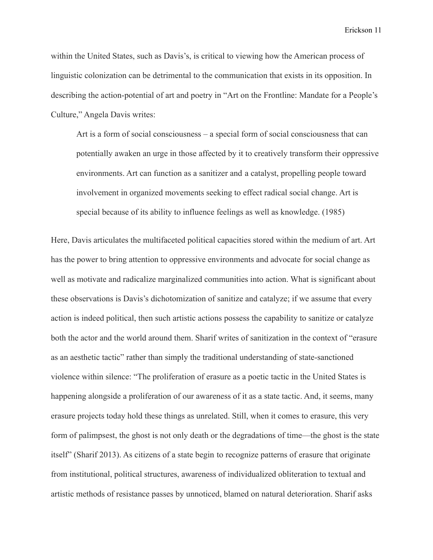within the United States, such as Davis's, is critical to viewing how the American process of linguistic colonization can be detrimental to the communication that exists in its opposition. In describing the action-potential of art and poetry in "Art on the Frontline: Mandate for a People's Culture," Angela Davis writes:

Art is a form of social consciousness – a special form of social consciousness that can potentially awaken an urge in those affected by it to creatively transform their oppressive environments. Art can function as a sanitizer and a catalyst, propelling people toward involvement in organized movements seeking to effect radical social change. Art is special because of its ability to influence feelings as well as knowledge. (1985)

Here, Davis articulates the multifaceted political capacities stored within the medium of art. Art has the power to bring attention to oppressive environments and advocate for social change as well as motivate and radicalize marginalized communities into action. What is significant about these observations is Davis's dichotomization of sanitize and catalyze; if we assume that every action is indeed political, then such artistic actions possess the capability to sanitize or catalyze both the actor and the world around them. Sharif writes of sanitization in the context of "erasure as an aesthetic tactic" rather than simply the traditional understanding of state-sanctioned violence within silence: "The proliferation of erasure as a poetic tactic in the United States is happening alongside a proliferation of our awareness of it as a state tactic. And, it seems, many erasure projects today hold these things as unrelated. Still, when it comes to erasure, this very form of palimpsest, the ghost is not only death or the degradations of time—the ghost is the state itself" (Sharif 2013). As citizens of a state begin to recognize patterns of erasure that originate from institutional, political structures, awareness of individualized obliteration to textual and artistic methods of resistance passes by unnoticed, blamed on natural deterioration. Sharif asks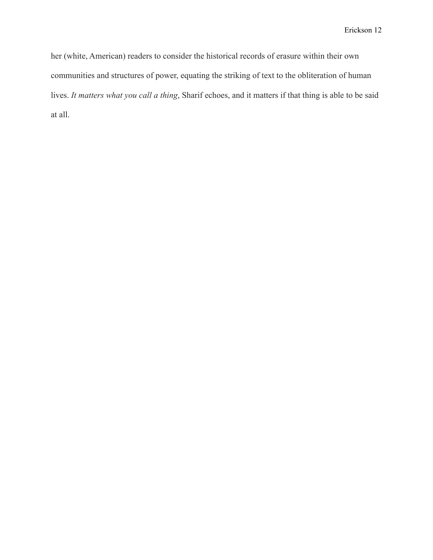her (white, American) readers to consider the historical records of erasure within their own communities and structures of power, equating the striking of text to the obliteration of human lives. *It matters what you call a thing*, Sharif echoes, and it matters if that thing is able to be said at all.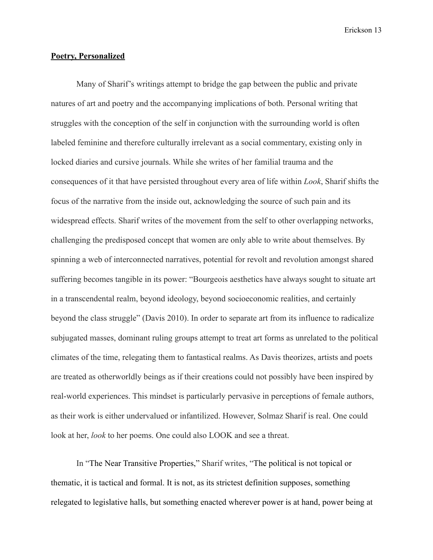#### **Poetry, Personalized**

Many of Sharif's writings attempt to bridge the gap between the public and private natures of art and poetry and the accompanying implications of both. Personal writing that struggles with the conception of the self in conjunction with the surrounding world is often labeled feminine and therefore culturally irrelevant as a social commentary, existing only in locked diaries and cursive journals. While she writes of her familial trauma and the consequences of it that have persisted throughout every area of life within *Look*, Sharif shifts the focus of the narrative from the inside out, acknowledging the source of such pain and its widespread effects. Sharif writes of the movement from the self to other overlapping networks, challenging the predisposed concept that women are only able to write about themselves. By spinning a web of interconnected narratives, potential for revolt and revolution amongst shared suffering becomes tangible in its power: "Bourgeois aesthetics have always sought to situate art in a transcendental realm, beyond ideology, beyond socioeconomic realities, and certainly beyond the class struggle" (Davis 2010). In order to separate art from its influence to radicalize subjugated masses, dominant ruling groups attempt to treat art forms as unrelated to the political climates of the time, relegating them to fantastical realms. As Davis theorizes, artists and poets are treated as otherworldly beings as if their creations could not possibly have been inspired by real-world experiences. This mindset is particularly pervasive in perceptions of female authors, as their work is either undervalued or infantilized. However, Solmaz Sharif is real. One could look at her, *look* to her poems. One could also LOOK and see a threat.

In "The Near Transitive Properties," Sharif writes, "The political is not topical or thematic, it is tactical and formal. It is not, as its strictest definition supposes, something relegated to legislative halls, but something enacted wherever power is at hand, power being at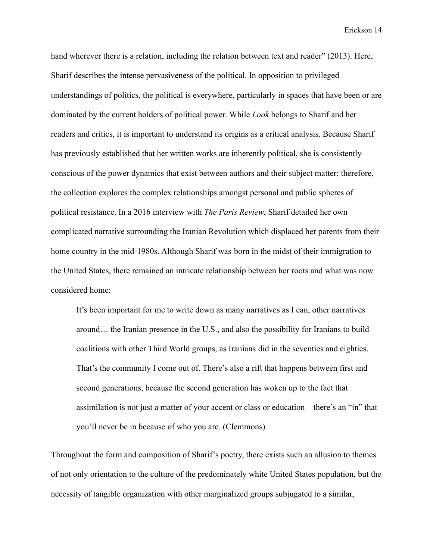hand wherever there is a relation, including the relation between text and reader" (2013). Here, Sharif describes the intense pervasiveness of the political. In opposition to privileged understandings of politics, the political is everywhere, particularly in spaces that have been or are dominated by the current holders of political power. While *Look* belongs to Sharif and her readers and critics, it is important to understand its origins as a critical analysis. Because Sharif has previously established that her written works are inherently political, she is consistently conscious of the power dynamics that exist between authors and their subject matter; therefore, the collection explores the complex relationships amongst personal and public spheres of political resistance. In a 2016 interview with *The Paris Review*, Sharif detailed her own complicated narrative surrounding the Iranian Revolution which displaced her parents from their home country in the mid-1980s. Although Sharif was born in the midst of their immigration to the United States, there remained an intricate relationship between her roots and what was now considered home:

It's been important for me to write down as many narratives as I can, other narratives around… the Iranian presence in the U.S., and also the possibility for Iranians to build coalitions with other Third World groups, as Iranians did in the seventies and eighties. That's the community I come out of. There's also a rift that happens between first and second generations, because the second generation has woken up to the fact that assimilation is not just a matter of your accent or class or education—there's an "in" that you'll never be in because of who you are. (Clemmons)

Throughout the form and composition of Sharif's poetry, there exists such an allusion to themes of not only orientation to the culture of the predominately white United States population, but the necessity of tangible organization with other marginalized groups subjugated to a similar,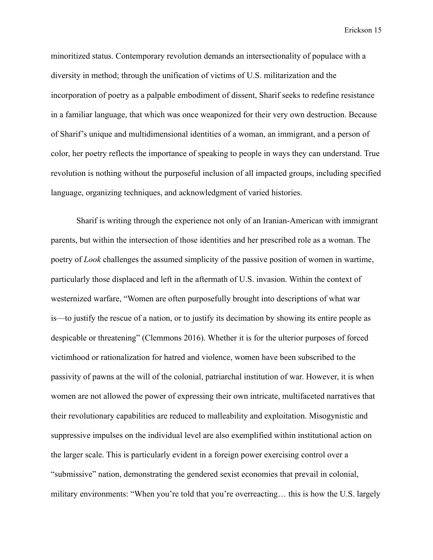minoritized status. Contemporary revolution demands an intersectionality of populace with a diversity in method; through the unification of victims of U.S. militarization and the incorporation of poetry as a palpable embodiment of dissent, Sharif seeks to redefine resistance in a familiar language, that which was once weaponized for their very own destruction. Because of Sharif's unique and multidimensional identities of a woman, an immigrant, and a person of color, her poetry reflects the importance of speaking to people in ways they can understand. True revolution is nothing without the purposeful inclusion of all impacted groups, including specified language, organizing techniques, and acknowledgment of varied histories.

Sharif is writing through the experience not only of an Iranian-American with immigrant parents, but within the intersection of those identities and her prescribed role as a woman. The poetry of *Look* challenges the assumed simplicity of the passive position of women in wartime, particularly those displaced and left in the aftermath of U.S. invasion. Within the context of westernized warfare, "Women are often purposefully brought into descriptions of what war is—to justify the rescue of a nation, or to justify its decimation by showing its entire people as despicable or threatening" (Clemmons 2016). Whether it is for the ulterior purposes of forced victimhood or rationalization for hatred and violence, women have been subscribed to the passivity of pawns at the will of the colonial, patriarchal institution of war. However, it is when women are not allowed the power of expressing their own intricate, multifaceted narratives that their revolutionary capabilities are reduced to malleability and exploitation. Misogynistic and suppressive impulses on the individual level are also exemplified within institutional action on the larger scale. This is particularly evident in a foreign power exercising control over a "submissive" nation, demonstrating the gendered sexist economies that prevail in colonial, military environments: "When you're told that you're overreacting… this is how the U.S. largely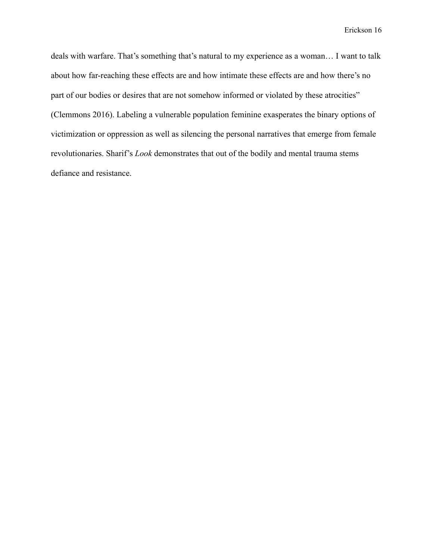deals with warfare. That's something that's natural to my experience as a woman… I want to talk about how far-reaching these effects are and how intimate these effects are and how there's no part of our bodies or desires that are not somehow informed or violated by these atrocities" (Clemmons 2016). Labeling a vulnerable population feminine exasperates the binary options of victimization or oppression as well as silencing the personal narratives that emerge from female revolutionaries. Sharif's *Look* demonstrates that out of the bodily and mental trauma stems defiance and resistance.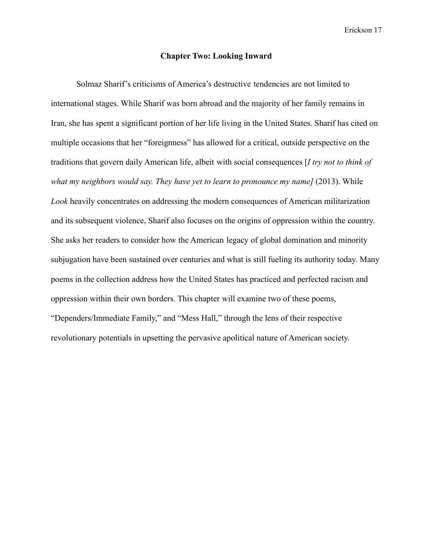#### **Chapter Two: Looking Inward**

Solmaz Sharif's criticisms of America's destructive tendencies are not limited to international stages. While Sharif was born abroad and the majority of her family remains in Iran, she has spent a significant portion of her life living in the United States. Sharif has cited on multiple occasions that her "foreignness" has allowed for a critical, outside perspective on the traditions that govern daily American life, albeit with social consequences [*I try not to think of what my neighbors would say. They have yet to learn to pronounce my name]* (2013). While *Look* heavily concentrates on addressing the modern consequences of American militarization and its subsequent violence, Sharif also focuses on the origins of oppression within the country. She asks her readers to consider how the American legacy of global domination and minority subjugation have been sustained over centuries and what is still fueling its authority today. Many poems in the collection address how the United States has practiced and perfected racism and oppression within their own borders. This chapter will examine two of these poems, "Dependers/Immediate Family," and "Mess Hall," through the lens of their respective revolutionary potentials in upsetting the pervasive apolitical nature of American society.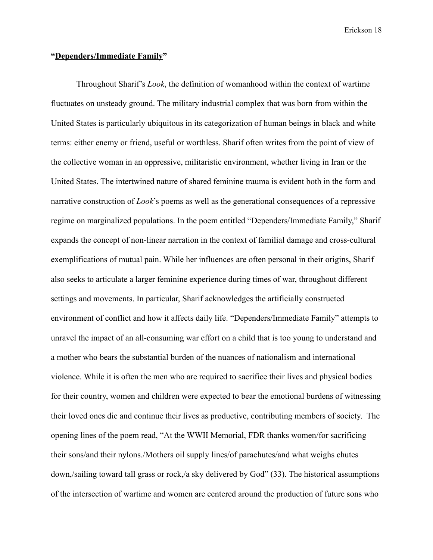#### **"Dependers/Immediate Family"**

Throughout Sharif's *Look*, the definition of womanhood within the context of wartime fluctuates on unsteady ground. The military industrial complex that was born from within the United States is particularly ubiquitous in its categorization of human beings in black and white terms: either enemy or friend, useful or worthless. Sharif often writes from the point of view of the collective woman in an oppressive, militaristic environment, whether living in Iran or the United States. The intertwined nature of shared feminine trauma is evident both in the form and narrative construction of *Look*'s poems as well as the generational consequences of a repressive regime on marginalized populations. In the poem entitled "Dependers/Immediate Family," Sharif expands the concept of non-linear narration in the context of familial damage and cross-cultural exemplifications of mutual pain. While her influences are often personal in their origins, Sharif also seeks to articulate a larger feminine experience during times of war, throughout different settings and movements. In particular, Sharif acknowledges the artificially constructed environment of conflict and how it affects daily life. "Dependers/Immediate Family" attempts to unravel the impact of an all-consuming war effort on a child that is too young to understand and a mother who bears the substantial burden of the nuances of nationalism and international violence. While it is often the men who are required to sacrifice their lives and physical bodies for their country, women and children were expected to bear the emotional burdens of witnessing their loved ones die and continue their lives as productive, contributing members of society. The opening lines of the poem read, "At the WWII Memorial, FDR thanks women/for sacrificing their sons/and their nylons./Mothers oil supply lines/of parachutes/and what weighs chutes down,/sailing toward tall grass or rock,/a sky delivered by God" (33). The historical assumptions of the intersection of wartime and women are centered around the production of future sons who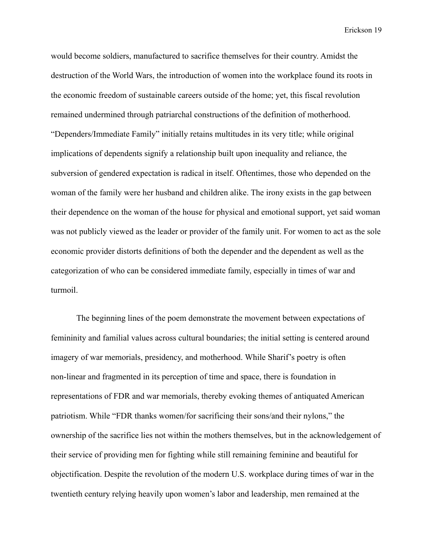would become soldiers, manufactured to sacrifice themselves for their country. Amidst the destruction of the World Wars, the introduction of women into the workplace found its roots in the economic freedom of sustainable careers outside of the home; yet, this fiscal revolution remained undermined through patriarchal constructions of the definition of motherhood. "Dependers/Immediate Family" initially retains multitudes in its very title; while original implications of dependents signify a relationship built upon inequality and reliance, the subversion of gendered expectation is radical in itself. Oftentimes, those who depended on the woman of the family were her husband and children alike. The irony exists in the gap between their dependence on the woman of the house for physical and emotional support, yet said woman was not publicly viewed as the leader or provider of the family unit. For women to act as the sole economic provider distorts definitions of both the depender and the dependent as well as the categorization of who can be considered immediate family, especially in times of war and turmoil.

The beginning lines of the poem demonstrate the movement between expectations of femininity and familial values across cultural boundaries; the initial setting is centered around imagery of war memorials, presidency, and motherhood. While Sharif's poetry is often non-linear and fragmented in its perception of time and space, there is foundation in representations of FDR and war memorials, thereby evoking themes of antiquated American patriotism. While "FDR thanks women/for sacrificing their sons/and their nylons," the ownership of the sacrifice lies not within the mothers themselves, but in the acknowledgement of their service of providing men for fighting while still remaining feminine and beautiful for objectification. Despite the revolution of the modern U.S. workplace during times of war in the twentieth century relying heavily upon women's labor and leadership, men remained at the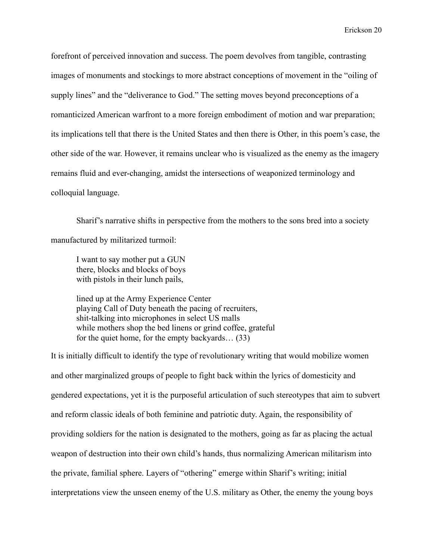forefront of perceived innovation and success. The poem devolves from tangible, contrasting images of monuments and stockings to more abstract conceptions of movement in the "oiling of supply lines" and the "deliverance to God." The setting moves beyond preconceptions of a romanticized American warfront to a more foreign embodiment of motion and war preparation; its implications tell that there is the United States and then there is Other, in this poem's case, the other side of the war. However, it remains unclear who is visualized as the enemy as the imagery remains fluid and ever-changing, amidst the intersections of weaponized terminology and colloquial language.

Sharif's narrative shifts in perspective from the mothers to the sons bred into a society manufactured by militarized turmoil:

I want to say mother put a GUN there, blocks and blocks of boys with pistols in their lunch pails,

lined up at the Army Experience Center playing Call of Duty beneath the pacing of recruiters, shit-talking into microphones in select US malls while mothers shop the bed linens or grind coffee, grateful for the quiet home, for the empty backyards… (33)

It is initially difficult to identify the type of revolutionary writing that would mobilize women and other marginalized groups of people to fight back within the lyrics of domesticity and gendered expectations, yet it is the purposeful articulation of such stereotypes that aim to subvert and reform classic ideals of both feminine and patriotic duty. Again, the responsibility of providing soldiers for the nation is designated to the mothers, going as far as placing the actual weapon of destruction into their own child's hands, thus normalizing American militarism into the private, familial sphere. Layers of "othering" emerge within Sharif's writing; initial interpretations view the unseen enemy of the U.S. military as Other, the enemy the young boys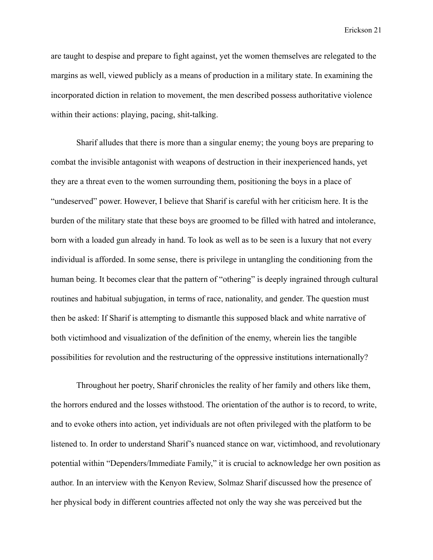are taught to despise and prepare to fight against, yet the women themselves are relegated to the margins as well, viewed publicly as a means of production in a military state. In examining the incorporated diction in relation to movement, the men described possess authoritative violence within their actions: playing, pacing, shit-talking.

Sharif alludes that there is more than a singular enemy; the young boys are preparing to combat the invisible antagonist with weapons of destruction in their inexperienced hands, yet they are a threat even to the women surrounding them, positioning the boys in a place of "undeserved" power. However, I believe that Sharif is careful with her criticism here. It is the burden of the military state that these boys are groomed to be filled with hatred and intolerance, born with a loaded gun already in hand. To look as well as to be seen is a luxury that not every individual is afforded. In some sense, there is privilege in untangling the conditioning from the human being. It becomes clear that the pattern of "othering" is deeply ingrained through cultural routines and habitual subjugation, in terms of race, nationality, and gender. The question must then be asked: If Sharif is attempting to dismantle this supposed black and white narrative of both victimhood and visualization of the definition of the enemy, wherein lies the tangible possibilities for revolution and the restructuring of the oppressive institutions internationally?

Throughout her poetry, Sharif chronicles the reality of her family and others like them, the horrors endured and the losses withstood. The orientation of the author is to record, to write, and to evoke others into action, yet individuals are not often privileged with the platform to be listened to. In order to understand Sharif's nuanced stance on war, victimhood, and revolutionary potential within "Dependers/Immediate Family," it is crucial to acknowledge her own position as author. In an interview with the Kenyon Review, Solmaz Sharif discussed how the presence of her physical body in different countries affected not only the way she was perceived but the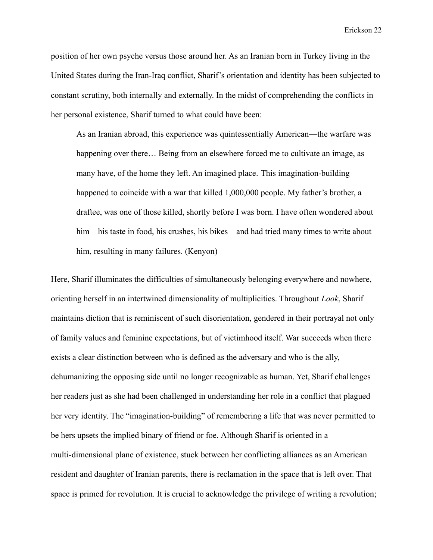position of her own psyche versus those around her. As an Iranian born in Turkey living in the United States during the Iran-Iraq conflict, Sharif's orientation and identity has been subjected to constant scrutiny, both internally and externally. In the midst of comprehending the conflicts in her personal existence, Sharif turned to what could have been:

As an Iranian abroad, this experience was quintessentially American—the warfare was happening over there... Being from an elsewhere forced me to cultivate an image, as many have, of the home they left. An imagined place. This imagination-building happened to coincide with a war that killed 1,000,000 people. My father's brother, a draftee, was one of those killed, shortly before I was born. I have often wondered about him—his taste in food, his crushes, his bikes—and had tried many times to write about him, resulting in many failures. (Kenyon)

Here, Sharif illuminates the difficulties of simultaneously belonging everywhere and nowhere, orienting herself in an intertwined dimensionality of multiplicities. Throughout *Look*, Sharif maintains diction that is reminiscent of such disorientation, gendered in their portrayal not only of family values and feminine expectations, but of victimhood itself. War succeeds when there exists a clear distinction between who is defined as the adversary and who is the ally, dehumanizing the opposing side until no longer recognizable as human. Yet, Sharif challenges her readers just as she had been challenged in understanding her role in a conflict that plagued her very identity. The "imagination-building" of remembering a life that was never permitted to be hers upsets the implied binary of friend or foe. Although Sharif is oriented in a multi-dimensional plane of existence, stuck between her conflicting alliances as an American resident and daughter of Iranian parents, there is reclamation in the space that is left over. That space is primed for revolution. It is crucial to acknowledge the privilege of writing a revolution;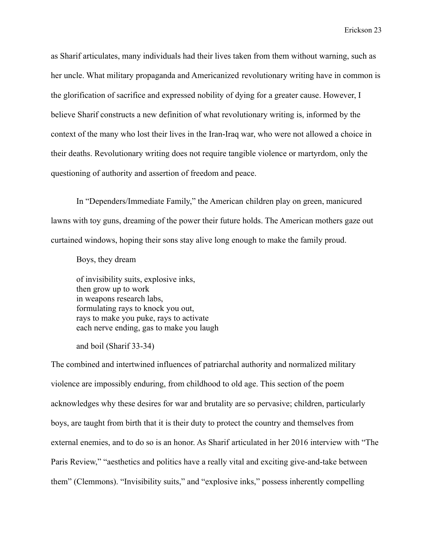as Sharif articulates, many individuals had their lives taken from them without warning, such as her uncle. What military propaganda and Americanized revolutionary writing have in common is the glorification of sacrifice and expressed nobility of dying for a greater cause. However, I believe Sharif constructs a new definition of what revolutionary writing is, informed by the context of the many who lost their lives in the Iran-Iraq war, who were not allowed a choice in their deaths. Revolutionary writing does not require tangible violence or martyrdom, only the questioning of authority and assertion of freedom and peace.

In "Dependers/Immediate Family," the American children play on green, manicured lawns with toy guns, dreaming of the power their future holds. The American mothers gaze out curtained windows, hoping their sons stay alive long enough to make the family proud.

Boys, they dream

of invisibility suits, explosive inks, then grow up to work in weapons research labs, formulating rays to knock you out, rays to make you puke, rays to activate each nerve ending, gas to make you laugh

and boil (Sharif 33-34)

The combined and intertwined influences of patriarchal authority and normalized military violence are impossibly enduring, from childhood to old age. This section of the poem acknowledges why these desires for war and brutality are so pervasive; children, particularly boys, are taught from birth that it is their duty to protect the country and themselves from external enemies, and to do so is an honor. As Sharif articulated in her 2016 interview with "The Paris Review," "aesthetics and politics have a really vital and exciting give-and-take between them" (Clemmons). "Invisibility suits," and "explosive inks," possess inherently compelling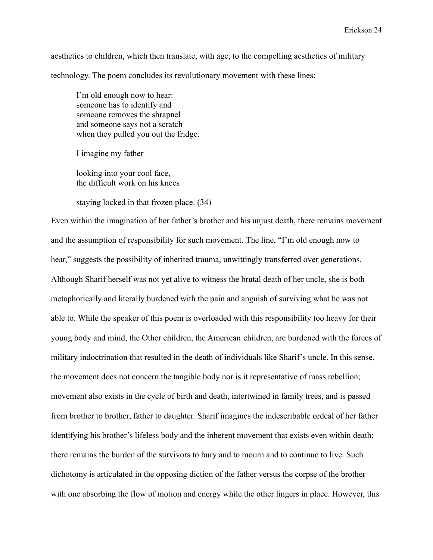aesthetics to children, which then translate, with age, to the compelling aesthetics of military technology. The poem concludes its revolutionary movement with these lines:

I'm old enough now to hear: someone has to identify and someone removes the shrapnel and someone says not a scratch when they pulled you out the fridge.

I imagine my father

looking into your cool face, the difficult work on his knees

staying locked in that frozen place. (34)

Even within the imagination of her father's brother and his unjust death, there remains movement and the assumption of responsibility for such movement. The line, "I'm old enough now to hear," suggests the possibility of inherited trauma, unwittingly transferred over generations. Although Sharif herself was not yet alive to witness the brutal death of her uncle, she is both metaphorically and literally burdened with the pain and anguish of surviving what he was not able to. While the speaker of this poem is overloaded with this responsibility too heavy for their young body and mind, the Other children, the American children, are burdened with the forces of military indoctrination that resulted in the death of individuals like Sharif's uncle. In this sense, the movement does not concern the tangible body nor is it representative of mass rebellion; movement also exists in the cycle of birth and death, intertwined in family trees, and is passed from brother to brother, father to daughter. Sharif imagines the indescribable ordeal of her father identifying his brother's lifeless body and the inherent movement that exists even within death; there remains the burden of the survivors to bury and to mourn and to continue to live. Such dichotomy is articulated in the opposing diction of the father versus the corpse of the brother with one absorbing the flow of motion and energy while the other lingers in place. However, this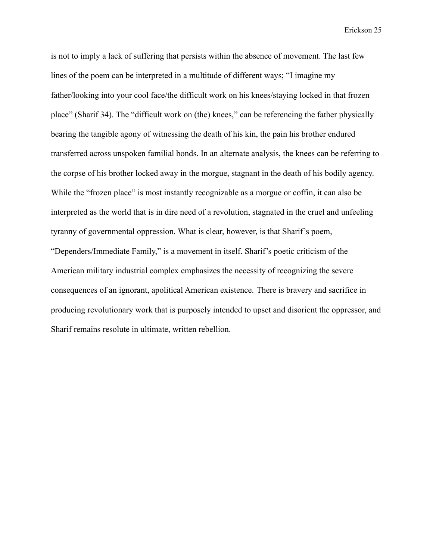is not to imply a lack of suffering that persists within the absence of movement. The last few lines of the poem can be interpreted in a multitude of different ways; "I imagine my father/looking into your cool face/the difficult work on his knees/staying locked in that frozen place" (Sharif 34). The "difficult work on (the) knees," can be referencing the father physically bearing the tangible agony of witnessing the death of his kin, the pain his brother endured transferred across unspoken familial bonds. In an alternate analysis, the knees can be referring to the corpse of his brother locked away in the morgue, stagnant in the death of his bodily agency. While the "frozen place" is most instantly recognizable as a morgue or coffin, it can also be interpreted as the world that is in dire need of a revolution, stagnated in the cruel and unfeeling tyranny of governmental oppression. What is clear, however, is that Sharif's poem, "Dependers/Immediate Family," is a movement in itself. Sharif's poetic criticism of the American military industrial complex emphasizes the necessity of recognizing the severe consequences of an ignorant, apolitical American existence. There is bravery and sacrifice in producing revolutionary work that is purposely intended to upset and disorient the oppressor, and Sharif remains resolute in ultimate, written rebellion.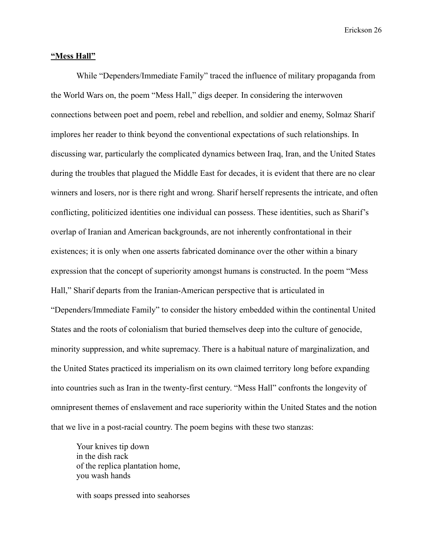#### **"Mess Hall"**

While "Dependers/Immediate Family" traced the influence of military propaganda from the World Wars on, the poem "Mess Hall," digs deeper. In considering the interwoven connections between poet and poem, rebel and rebellion, and soldier and enemy, Solmaz Sharif implores her reader to think beyond the conventional expectations of such relationships. In discussing war, particularly the complicated dynamics between Iraq, Iran, and the United States during the troubles that plagued the Middle East for decades, it is evident that there are no clear winners and losers, nor is there right and wrong. Sharif herself represents the intricate, and often conflicting, politicized identities one individual can possess. These identities, such as Sharif's overlap of Iranian and American backgrounds, are not inherently confrontational in their existences; it is only when one asserts fabricated dominance over the other within a binary expression that the concept of superiority amongst humans is constructed. In the poem "Mess Hall," Sharif departs from the Iranian-American perspective that is articulated in "Dependers/Immediate Family" to consider the history embedded within the continental United States and the roots of colonialism that buried themselves deep into the culture of genocide, minority suppression, and white supremacy. There is a habitual nature of marginalization, and the United States practiced its imperialism on its own claimed territory long before expanding into countries such as Iran in the twenty-first century. "Mess Hall" confronts the longevity of omnipresent themes of enslavement and race superiority within the United States and the notion that we live in a post-racial country. The poem begins with these two stanzas:

Your knives tip down in the dish rack of the replica plantation home, you wash hands

with soaps pressed into seahorses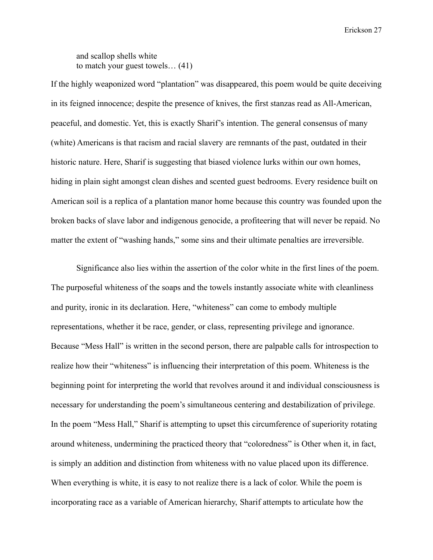and scallop shells white to match your guest towels… (41)

If the highly weaponized word "plantation" was disappeared, this poem would be quite deceiving in its feigned innocence; despite the presence of knives, the first stanzas read as All-American, peaceful, and domestic. Yet, this is exactly Sharif's intention. The general consensus of many (white) Americans is that racism and racial slavery are remnants of the past, outdated in their historic nature. Here, Sharif is suggesting that biased violence lurks within our own homes, hiding in plain sight amongst clean dishes and scented guest bedrooms. Every residence built on American soil is a replica of a plantation manor home because this country was founded upon the broken backs of slave labor and indigenous genocide, a profiteering that will never be repaid. No matter the extent of "washing hands," some sins and their ultimate penalties are irreversible.

Significance also lies within the assertion of the color white in the first lines of the poem. The purposeful whiteness of the soaps and the towels instantly associate white with cleanliness and purity, ironic in its declaration. Here, "whiteness" can come to embody multiple representations, whether it be race, gender, or class, representing privilege and ignorance. Because "Mess Hall" is written in the second person, there are palpable calls for introspection to realize how their "whiteness" is influencing their interpretation of this poem. Whiteness is the beginning point for interpreting the world that revolves around it and individual consciousness is necessary for understanding the poem's simultaneous centering and destabilization of privilege. In the poem "Mess Hall," Sharif is attempting to upset this circumference of superiority rotating around whiteness, undermining the practiced theory that "coloredness" is Other when it, in fact, is simply an addition and distinction from whiteness with no value placed upon its difference. When everything is white, it is easy to not realize there is a lack of color. While the poem is incorporating race as a variable of American hierarchy, Sharif attempts to articulate how the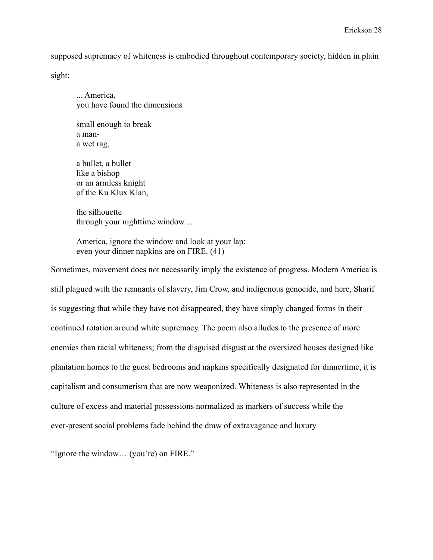supposed supremacy of whiteness is embodied throughout contemporary society, hidden in plain

sight:

... America, you have found the dimensions

small enough to break a mana wet rag,

a bullet, a bullet like a bishop or an armless knight of the Ku Klux Klan,

the silhouette through your nighttime window…

America, ignore the window and look at your lap: even your dinner napkins are on FIRE. (41)

Sometimes, movement does not necessarily imply the existence of progress. Modern America is still plagued with the remnants of slavery, Jim Crow, and indigenous genocide, and here, Sharif is suggesting that while they have not disappeared, they have simply changed forms in their continued rotation around white supremacy. The poem also alludes to the presence of more enemies than racial whiteness; from the disguised disgust at the oversized houses designed like plantation homes to the guest bedrooms and napkins specifically designated for dinnertime, it is capitalism and consumerism that are now weaponized. Whiteness is also represented in the culture of excess and material possessions normalized as markers of success while the ever-present social problems fade behind the draw of extravagance and luxury.

"Ignore the window… (you're) on FIRE."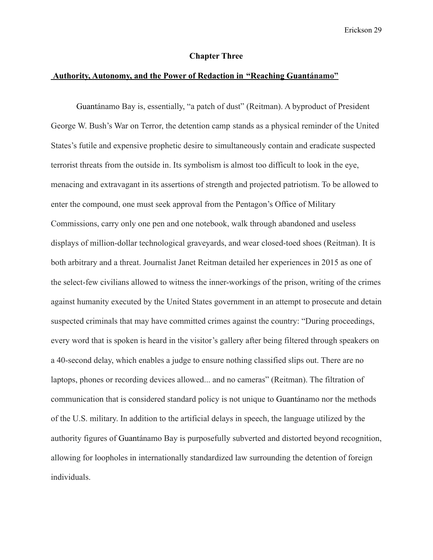#### **Chapter Three**

#### **Authority, Autonomy, and the Power of Redaction in "Reaching Guantánamo"**

Guantánamo Bay is, essentially, "a patch of dust" (Reitman). A byproduct of President George W. Bush's War on Terror, the detention camp stands as a physical reminder of the United States's futile and expensive prophetic desire to simultaneously contain and eradicate suspected terrorist threats from the outside in. Its symbolism is almost too difficult to look in the eye, menacing and extravagant in its assertions of strength and projected patriotism. To be allowed to enter the compound, one must seek approval from the Pentagon's Office of Military Commissions, carry only one pen and one notebook, walk through abandoned and useless displays of million-dollar technological graveyards, and wear closed-toed shoes (Reitman). It is both arbitrary and a threat. Journalist Janet Reitman detailed her experiences in 2015 as one of the select-few civilians allowed to witness the inner-workings of the prison, writing of the crimes against humanity executed by the United States government in an attempt to prosecute and detain suspected criminals that may have committed crimes against the country: "During proceedings, every word that is spoken is heard in the visitor's gallery after being filtered through speakers on a 40-second delay, which enables a judge to ensure nothing classified slips out. There are no laptops, phones or recording devices allowed... and no cameras" (Reitman). The filtration of communication that is considered standard policy is not unique to Guantánamo nor the methods of the U.S. military. In addition to the artificial delays in speech, the language utilized by the authority figures of Guantánamo Bay is purposefully subverted and distorted beyond recognition, allowing for loopholes in internationally standardized law surrounding the detention of foreign individuals.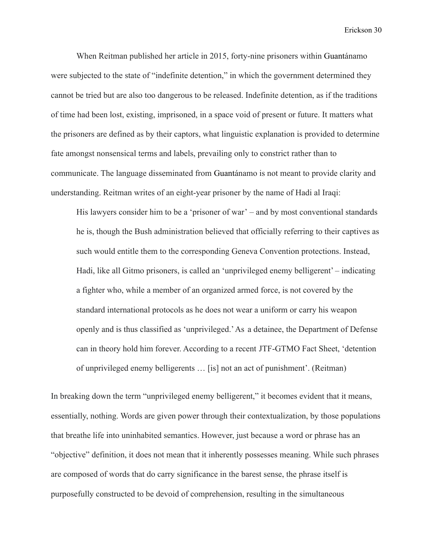When Reitman published her article in 2015, forty-nine prisoners within Guantánamo were subjected to the state of "indefinite detention," in which the government determined they cannot be tried but are also too dangerous to be released. Indefinite detention, as if the traditions of time had been lost, existing, imprisoned, in a space void of present or future. It matters what the prisoners are defined as by their captors, what linguistic explanation is provided to determine fate amongst nonsensical terms and labels, prevailing only to constrict rather than to communicate. The language disseminated from Guantánamo is not meant to provide clarity and understanding. Reitman writes of an eight-year prisoner by the name of Hadi al Iraqi:

His lawyers consider him to be a 'prisoner of war' – and by most conventional standards he is, though the Bush administration believed that officially referring to their captives as such would entitle them to the corresponding Geneva Convention protections. Instead, Hadi, like all Gitmo prisoners, is called an 'unprivileged enemy belligerent' – indicating a fighter who, while a member of an organized armed force, is not covered by the standard international protocols as he does not wear a uniform or carry his weapon openly and is thus classified as 'unprivileged.'As a detainee, the Department of Defense can in theory hold him forever. According to a recent JTF-GTMO Fact Sheet, 'detention of unprivileged enemy belligerents … [is] not an act of punishment'. (Reitman)

In breaking down the term "unprivileged enemy belligerent," it becomes evident that it means, essentially, nothing. Words are given power through their contextualization, by those populations that breathe life into uninhabited semantics. However, just because a word or phrase has an "objective" definition, it does not mean that it inherently possesses meaning. While such phrases are composed of words that do carry significance in the barest sense, the phrase itself is purposefully constructed to be devoid of comprehension, resulting in the simultaneous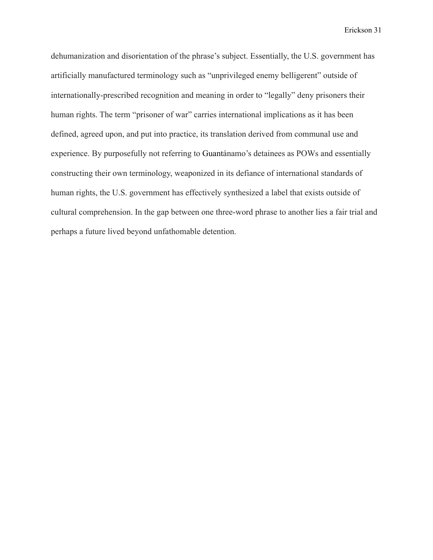dehumanization and disorientation of the phrase's subject. Essentially, the U.S. government has artificially manufactured terminology such as "unprivileged enemy belligerent" outside of internationally-prescribed recognition and meaning in order to "legally" deny prisoners their human rights. The term "prisoner of war" carries international implications as it has been defined, agreed upon, and put into practice, its translation derived from communal use and experience. By purposefully not referring to Guantánamo's detainees as POWs and essentially constructing their own terminology, weaponized in its defiance of international standards of human rights, the U.S. government has effectively synthesized a label that exists outside of cultural comprehension. In the gap between one three-word phrase to another lies a fair trial and perhaps a future lived beyond unfathomable detention.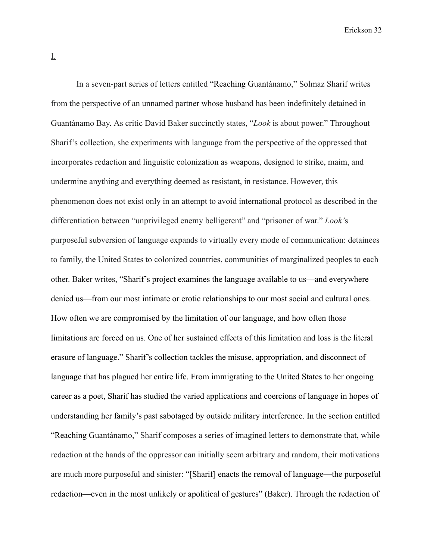In a seven-part series of letters entitled "Reaching Guantánamo," Solmaz Sharif writes from the perspective of an unnamed partner whose husband has been indefinitely detained in Guantánamo Bay. As critic David Baker succinctly states, "*Look* is about power." Throughout Sharif's collection, she experiments with language from the perspective of the oppressed that incorporates redaction and linguistic colonization as weapons, designed to strike, maim, and undermine anything and everything deemed as resistant, in resistance. However, this phenomenon does not exist only in an attempt to avoid international protocol as described in the differentiation between "unprivileged enemy belligerent" and "prisoner of war." *Look'*s purposeful subversion of language expands to virtually every mode of communication: detainees to family, the United States to colonized countries, communities of marginalized peoples to each other. Baker writes, "Sharif's project examines the language available to us—and everywhere denied us—from our most intimate or erotic relationships to our most social and cultural ones. How often we are compromised by the limitation of our language, and how often those limitations are forced on us. One of her sustained effects of this limitation and loss is the literal erasure of language." Sharif's collection tackles the misuse, appropriation, and disconnect of language that has plagued her entire life. From immigrating to the United States to her ongoing career as a poet, Sharif has studied the varied applications and coercions of language in hopes of understanding her family's past sabotaged by outside military interference. In the section entitled "Reaching Guantánamo," Sharif composes a series of imagined letters to demonstrate that, while redaction at the hands of the oppressor can initially seem arbitrary and random, their motivations are much more purposeful and sinister: "[Sharif] enacts the removal of language—the purposeful redaction—even in the most unlikely or apolitical of gestures" (Baker). Through the redaction of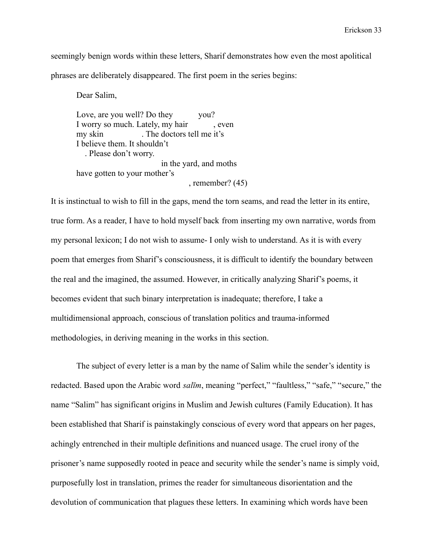seemingly benign words within these letters, Sharif demonstrates how even the most apolitical phrases are deliberately disappeared. The first poem in the series begins:

Dear Salim,

Love, are you well? Do they vou? I worry so much. Lately, my hair , even my skin . The doctors tell me it's I believe them. It shouldn't . Please don't worry. in the yard, and moths have gotten to your mother's , remember? (45)

It is instinctual to wish to fill in the gaps, mend the torn seams, and read the letter in its entire, true form. As a reader, I have to hold myself back from inserting my own narrative, words from my personal lexicon; I do not wish to assume- I only wish to understand. As it is with every poem that emerges from Sharif's consciousness, it is difficult to identify the boundary between the real and the imagined, the assumed. However, in critically analyzing Sharif's poems, it becomes evident that such binary interpretation is inadequate; therefore, I take a multidimensional approach, conscious of translation politics and trauma-informed methodologies, in deriving meaning in the works in this section.

The subject of every letter is a man by the name of Salim while the sender's identity is redacted. Based upon the Arabic word *salīm*, meaning "perfect," "faultless," "safe," "secure," the name "Salim" has significant origins in Muslim and Jewish cultures (Family Education). It has been established that Sharif is painstakingly conscious of every word that appears on her pages, achingly entrenched in their multiple definitions and nuanced usage. The cruel irony of the prisoner's name supposedly rooted in peace and security while the sender's name is simply void, purposefully lost in translation, primes the reader for simultaneous disorientation and the devolution of communication that plagues these letters. In examining which words have been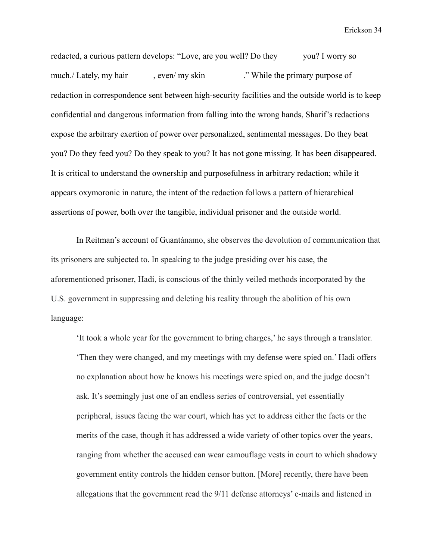redacted, a curious pattern develops: "Love, are you well? Do they you? I worry so much./ Lately, my hair , even/ my skin ... "While the primary purpose of redaction in correspondence sent between high-security facilities and the outside world is to keep confidential and dangerous information from falling into the wrong hands, Sharif's redactions expose the arbitrary exertion of power over personalized, sentimental messages. Do they beat you? Do they feed you? Do they speak to you? It has not gone missing. It has been disappeared. It is critical to understand the ownership and purposefulness in arbitrary redaction; while it appears oxymoronic in nature, the intent of the redaction follows a pattern of hierarchical assertions of power, both over the tangible, individual prisoner and the outside world.

In Reitman's account of Guantánamo, she observes the devolution of communication that its prisoners are subjected to. In speaking to the judge presiding over his case, the aforementioned prisoner, Hadi, is conscious of the thinly veiled methods incorporated by the U.S. government in suppressing and deleting his reality through the abolition of his own language:

'It took a whole year for the government to bring charges,' he says through a translator. 'Then they were changed, and my meetings with my defense were spied on.' Hadi offers no explanation about how he knows his meetings were spied on, and the judge doesn't ask. It's seemingly just one of an endless series of controversial, yet essentially peripheral, issues facing the war court, which has yet to address either the facts or the merits of the case, though it has addressed a wide variety of other topics over the years, ranging from whether the accused can wear camouflage vests in court to which shadowy government entity controls the hidden censor button. [More] recently, there have been allegations that the government read the 9/11 defense attorneys' e-mails and listened in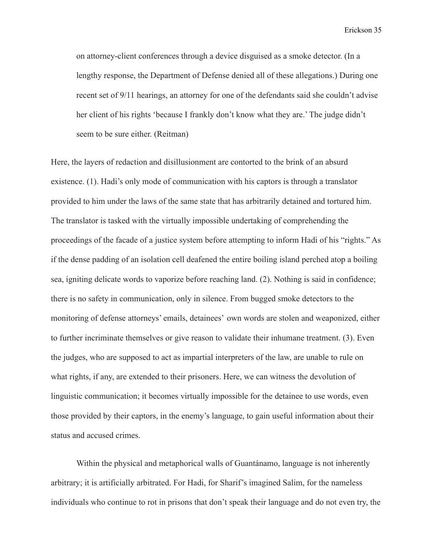on attorney-client conferences through a device disguised as a smoke detector. (In a lengthy response, the Department of Defense denied all of these allegations.) During one recent set of 9/11 hearings, an attorney for one of the defendants said she couldn't advise her client of his rights 'because I frankly don't know what they are.' The judge didn't seem to be sure either. (Reitman)

Here, the layers of redaction and disillusionment are contorted to the brink of an absurd existence. (1). Hadi's only mode of communication with his captors is through a translator provided to him under the laws of the same state that has arbitrarily detained and tortured him. The translator is tasked with the virtually impossible undertaking of comprehending the proceedings of the facade of a justice system before attempting to inform Hadi of his "rights." As if the dense padding of an isolation cell deafened the entire boiling island perched atop a boiling sea, igniting delicate words to vaporize before reaching land. (2). Nothing is said in confidence; there is no safety in communication, only in silence. From bugged smoke detectors to the monitoring of defense attorneys' emails, detainees' own words are stolen and weaponized, either to further incriminate themselves or give reason to validate their inhumane treatment. (3). Even the judges, who are supposed to act as impartial interpreters of the law, are unable to rule on what rights, if any, are extended to their prisoners. Here, we can witness the devolution of linguistic communication; it becomes virtually impossible for the detainee to use words, even those provided by their captors, in the enemy's language, to gain useful information about their status and accused crimes.

Within the physical and metaphorical walls of Guantánamo, language is not inherently arbitrary; it is artificially arbitrated. For Hadi, for Sharif's imagined Salim, for the nameless individuals who continue to rot in prisons that don't speak their language and do not even try, the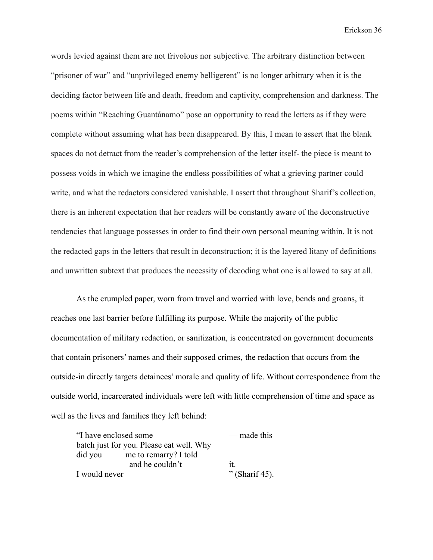words levied against them are not frivolous nor subjective. The arbitrary distinction between "prisoner of war" and "unprivileged enemy belligerent" is no longer arbitrary when it is the deciding factor between life and death, freedom and captivity, comprehension and darkness. The poems within "Reaching Guantánamo" pose an opportunity to read the letters as if they were complete without assuming what has been disappeared. By this, I mean to assert that the blank spaces do not detract from the reader's comprehension of the letter itself- the piece is meant to possess voids in which we imagine the endless possibilities of what a grieving partner could write, and what the redactors considered vanishable. I assert that throughout Sharif's collection, there is an inherent expectation that her readers will be constantly aware of the deconstructive tendencies that language possesses in order to find their own personal meaning within. It is not the redacted gaps in the letters that result in deconstruction; it is the layered litany of definitions and unwritten subtext that produces the necessity of decoding what one is allowed to say at all.

As the crumpled paper, worn from travel and worried with love, bends and groans, it reaches one last barrier before fulfilling its purpose. While the majority of the public documentation of military redaction, or sanitization, is concentrated on government documents that contain prisoners' names and their supposed crimes, the redaction that occurs from the outside-in directly targets detainees' morale and quality of life. Without correspondence from the outside world, incarcerated individuals were left with little comprehension of time and space as well as the lives and families they left behind:

"I have enclosed some — made this batch just for you. Please eat well. Why did you me to remarry? I told and he couldn't it. I would never " (Sharif 45).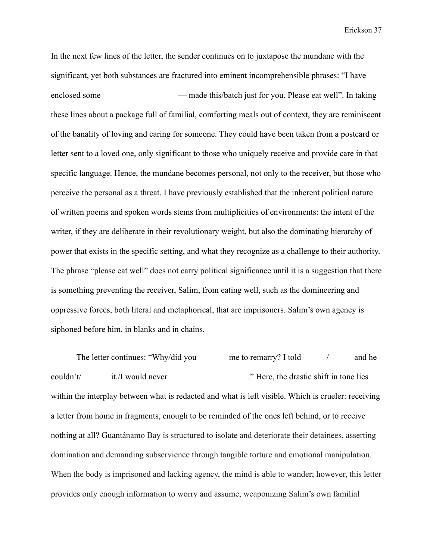In the next few lines of the letter, the sender continues on to juxtapose the mundane with the significant, yet both substances are fractured into eminent incomprehensible phrases: "I have enclosed some — made this/batch just for you. Please eat well". In taking these lines about a package full of familial, comforting meals out of context, they are reminiscent of the banality of loving and caring for someone. They could have been taken from a postcard or letter sent to a loved one, only significant to those who uniquely receive and provide care in that specific language. Hence, the mundane becomes personal, not only to the receiver, but those who perceive the personal as a threat. I have previously established that the inherent political nature of written poems and spoken words stems from multiplicities of environments: the intent of the writer, if they are deliberate in their revolutionary weight, but also the dominating hierarchy of power that exists in the specific setting, and what they recognize as a challenge to their authority. The phrase "please eat well" does not carry political significance until it is a suggestion that there is something preventing the receiver, Salim, from eating well, such as the domineering and oppressive forces, both literal and metaphorical, that are imprisoners. Salim's own agency is siphoned before him, in blanks and in chains.

The letter continues: "Why/did you me to remarry? I told / and he couldn't it./I would never ... There, the drastic shift in tone lies within the interplay between what is redacted and what is left visible. Which is crueler: receiving a letter from home in fragments, enough to be reminded of the ones left behind, or to receive nothing at all? Guantánamo Bay is structured to isolate and deteriorate their detainees, asserting domination and demanding subservience through tangible torture and emotional manipulation. When the body is imprisoned and lacking agency, the mind is able to wander; however, this letter provides only enough information to worry and assume, weaponizing Salim's own familial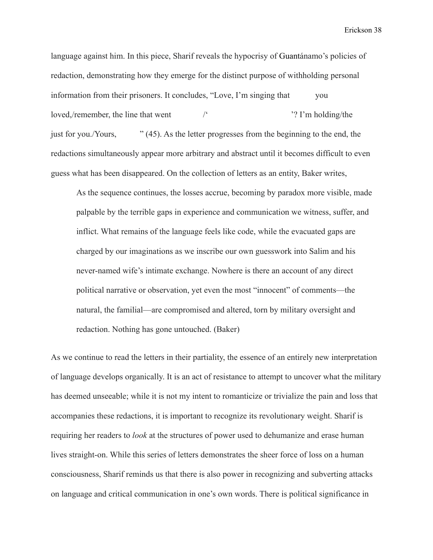language against him. In this piece, Sharif reveals the hypocrisy of Guantánamo's policies of redaction, demonstrating how they emerge for the distinct purpose of withholding personal information from their prisoners. It concludes, "Love, I'm singing that you loved,/remember, the line that went /' '? I'm holding/the just for you./Yours, " (45). As the letter progresses from the beginning to the end, the redactions simultaneously appear more arbitrary and abstract until it becomes difficult to even guess what has been disappeared. On the collection of letters as an entity, Baker writes,

As the sequence continues, the losses accrue, becoming by paradox more visible, made palpable by the terrible gaps in experience and communication we witness, suffer, and inflict. What remains of the language feels like code, while the evacuated gaps are charged by our imaginations as we inscribe our own guesswork into Salim and his never-named wife's intimate exchange. Nowhere is there an account of any direct political narrative or observation, yet even the most "innocent" of comments—the natural, the familial—are compromised and altered, torn by military oversight and redaction. Nothing has gone untouched. (Baker)

As we continue to read the letters in their partiality, the essence of an entirely new interpretation of language develops organically. It is an act of resistance to attempt to uncover what the military has deemed unseeable; while it is not my intent to romanticize or trivialize the pain and loss that accompanies these redactions, it is important to recognize its revolutionary weight. Sharif is requiring her readers to *look* at the structures of power used to dehumanize and erase human lives straight-on. While this series of letters demonstrates the sheer force of loss on a human consciousness, Sharif reminds us that there is also power in recognizing and subverting attacks on language and critical communication in one's own words. There is political significance in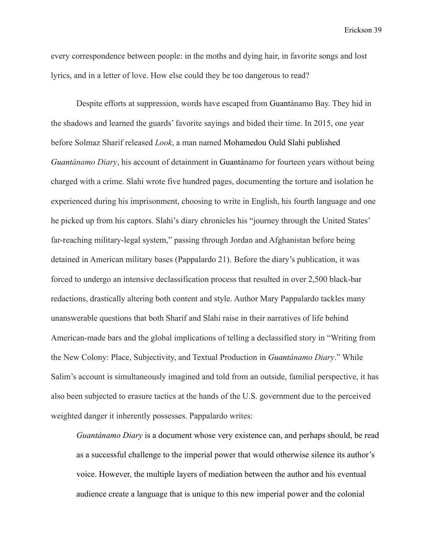every correspondence between people: in the moths and dying hair, in favorite songs and lost lyrics, and in a letter of love. How else could they be too dangerous to read?

Despite efforts at suppression, words have escaped from Guantánamo Bay. They hid in the shadows and learned the guards' favorite sayings and bided their time. In 2015, one year before Solmaz Sharif released *Look*, a man named Mohamedou Ould Slahi published *Guantánamo Diary*, his account of detainment in Guantánamo for fourteen years without being charged with a crime. Slahi wrote five hundred pages, documenting the torture and isolation he experienced during his imprisonment, choosing to write in English, his fourth language and one he picked up from his captors. Slahi's diary chronicles his "journey through the United States' far-reaching military-legal system," passing through Jordan and Afghanistan before being detained in American military bases (Pappalardo 21). Before the diary's publication, it was forced to undergo an intensive declassification process that resulted in over 2,500 black-bar redactions, drastically altering both content and style. Author Mary Pappalardo tackles many unanswerable questions that both Sharif and Slahi raise in their narratives of life behind American-made bars and the global implications of telling a declassified story in "Writing from the New Colony: Place, Subjectivity, and Textual Production in *Guantánamo Diary*." While Salim's account is simultaneously imagined and told from an outside, familial perspective, it has also been subjected to erasure tactics at the hands of the U.S. government due to the perceived weighted danger it inherently possesses. Pappalardo writes:

*Guantánamo Diary* is a document whose very existence can, and perhaps should, be read as a successful challenge to the imperial power that would otherwise silence its author's voice. However, the multiple layers of mediation between the author and his eventual audience create a language that is unique to this new imperial power and the colonial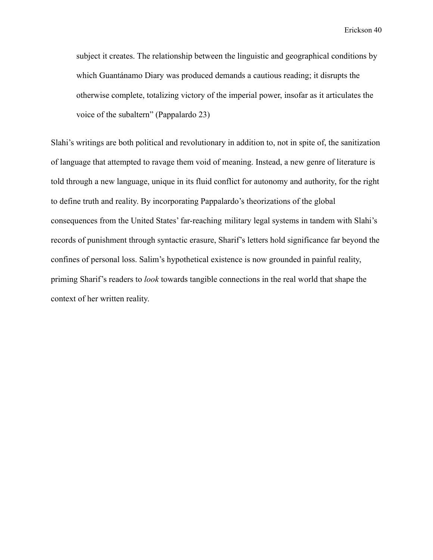subject it creates. The relationship between the linguistic and geographical conditions by which Guantánamo Diary was produced demands a cautious reading; it disrupts the otherwise complete, totalizing victory of the imperial power, insofar as it articulates the voice of the subaltern" (Pappalardo 23)

Slahi's writings are both political and revolutionary in addition to, not in spite of, the sanitization of language that attempted to ravage them void of meaning. Instead, a new genre of literature is told through a new language, unique in its fluid conflict for autonomy and authority, for the right to define truth and reality. By incorporating Pappalardo's theorizations of the global consequences from the United States' far-reaching military legal systems in tandem with Slahi's records of punishment through syntactic erasure, Sharif's letters hold significance far beyond the confines of personal loss. Salim's hypothetical existence is now grounded in painful reality, priming Sharif's readers to *look* towards tangible connections in the real world that shape the context of her written reality.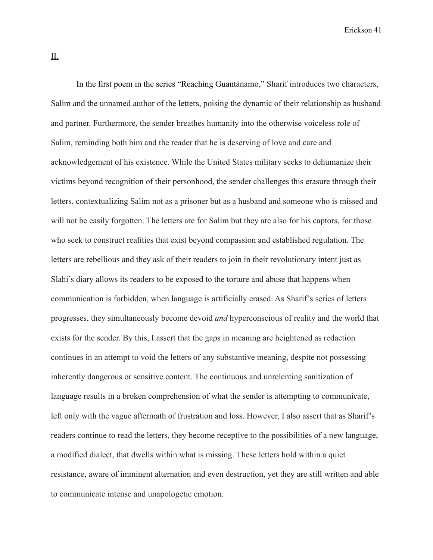II.

In the first poem in the series "Reaching Guantánamo," Sharif introduces two characters, Salim and the unnamed author of the letters, poising the dynamic of their relationship as husband and partner. Furthermore, the sender breathes humanity into the otherwise voiceless role of Salim, reminding both him and the reader that he is deserving of love and care and acknowledgement of his existence. While the United States military seeks to dehumanize their victims beyond recognition of their personhood, the sender challenges this erasure through their letters, contextualizing Salim not as a prisoner but as a husband and someone who is missed and will not be easily forgotten. The letters are for Salim but they are also for his captors, for those who seek to construct realities that exist beyond compassion and established regulation. The letters are rebellious and they ask of their readers to join in their revolutionary intent just as Slahi's diary allows its readers to be exposed to the torture and abuse that happens when communication is forbidden, when language is artificially erased. As Sharif's series of letters progresses, they simultaneously become devoid *and* hyperconscious of reality and the world that exists for the sender. By this, I assert that the gaps in meaning are heightened as redaction continues in an attempt to void the letters of any substantive meaning, despite not possessing inherently dangerous or sensitive content. The continuous and unrelenting sanitization of language results in a broken comprehension of what the sender is attempting to communicate, left only with the vague aftermath of frustration and loss. However, I also assert that as Sharif's readers continue to read the letters, they become receptive to the possibilities of a new language, a modified dialect, that dwells within what is missing. These letters hold within a quiet resistance, aware of imminent alternation and even destruction, yet they are still written and able to communicate intense and unapologetic emotion.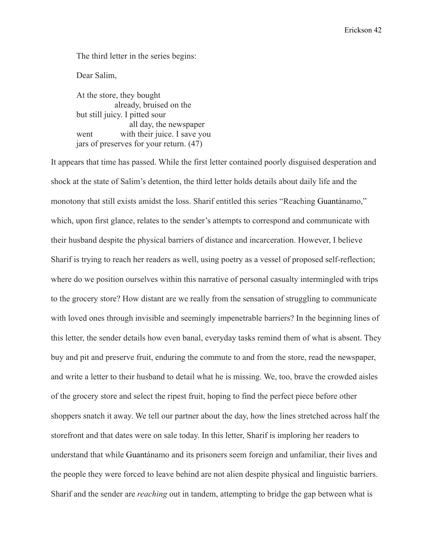The third letter in the series begins:

Dear Salim,

At the store, they bought already, bruised on the but still juicy. I pitted sour all day, the newspaper went with their juice. I save you jars of preserves for your return. (47)

It appears that time has passed. While the first letter contained poorly disguised desperation and shock at the state of Salim's detention, the third letter holds details about daily life and the monotony that still exists amidst the loss. Sharif entitled this series "Reaching Guantánamo," which, upon first glance, relates to the sender's attempts to correspond and communicate with their husband despite the physical barriers of distance and incarceration. However, I believe Sharif is trying to reach her readers as well, using poetry as a vessel of proposed self-reflection; where do we position ourselves within this narrative of personal casualty intermingled with trips to the grocery store? How distant are we really from the sensation of struggling to communicate with loved ones through invisible and seemingly impenetrable barriers? In the beginning lines of this letter, the sender details how even banal, everyday tasks remind them of what is absent. They buy and pit and preserve fruit, enduring the commute to and from the store, read the newspaper, and write a letter to their husband to detail what he is missing. We, too, brave the crowded aisles of the grocery store and select the ripest fruit, hoping to find the perfect piece before other shoppers snatch it away. We tell our partner about the day, how the lines stretched across half the storefront and that dates were on sale today. In this letter, Sharif is imploring her readers to understand that while Guantánamo and its prisoners seem foreign and unfamiliar, their lives and the people they were forced to leave behind are not alien despite physical and linguistic barriers. Sharif and the sender are *reaching* out in tandem, attempting to bridge the gap between what is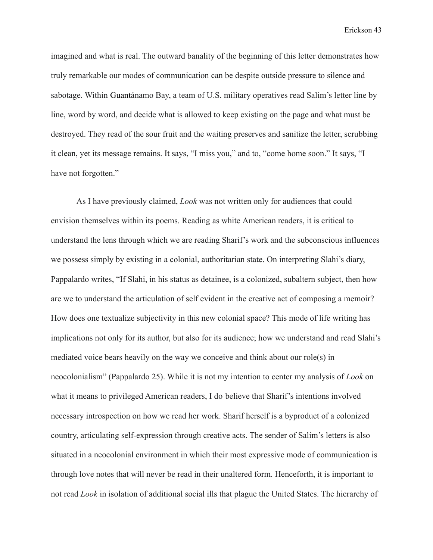imagined and what is real. The outward banality of the beginning of this letter demonstrates how truly remarkable our modes of communication can be despite outside pressure to silence and sabotage. Within Guantánamo Bay, a team of U.S. military operatives read Salim's letter line by line, word by word, and decide what is allowed to keep existing on the page and what must be destroyed. They read of the sour fruit and the waiting preserves and sanitize the letter, scrubbing it clean, yet its message remains. It says, "I miss you," and to, "come home soon." It says, "I have not forgotten."

As I have previously claimed, *Look* was not written only for audiences that could envision themselves within its poems. Reading as white American readers, it is critical to understand the lens through which we are reading Sharif's work and the subconscious influences we possess simply by existing in a colonial, authoritarian state. On interpreting Slahi's diary, Pappalardo writes, "If Slahi, in his status as detainee, is a colonized, subaltern subject, then how are we to understand the articulation of self evident in the creative act of composing a memoir? How does one textualize subjectivity in this new colonial space? This mode of life writing has implications not only for its author, but also for its audience; how we understand and read Slahi's mediated voice bears heavily on the way we conceive and think about our role(s) in neocolonialism" (Pappalardo 25). While it is not my intention to center my analysis of *Look* on what it means to privileged American readers, I do believe that Sharif's intentions involved necessary introspection on how we read her work. Sharif herself is a byproduct of a colonized country, articulating self-expression through creative acts. The sender of Salim's letters is also situated in a neocolonial environment in which their most expressive mode of communication is through love notes that will never be read in their unaltered form. Henceforth, it is important to not read *Look* in isolation of additional social ills that plague the United States. The hierarchy of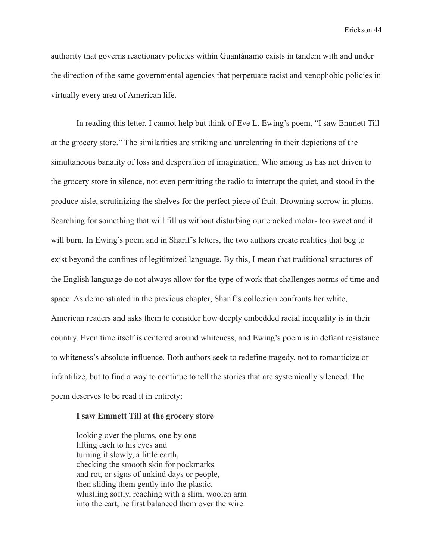authority that governs reactionary policies within Guantánamo exists in tandem with and under the direction of the same governmental agencies that perpetuate racist and xenophobic policies in virtually every area of American life.

In reading this letter, I cannot help but think of Eve L. Ewing's poem, "I saw Emmett Till at the grocery store." The similarities are striking and unrelenting in their depictions of the simultaneous banality of loss and desperation of imagination. Who among us has not driven to the grocery store in silence, not even permitting the radio to interrupt the quiet, and stood in the produce aisle, scrutinizing the shelves for the perfect piece of fruit. Drowning sorrow in plums. Searching for something that will fill us without disturbing our cracked molar- too sweet and it will burn. In Ewing's poem and in Sharif's letters, the two authors create realities that beg to exist beyond the confines of legitimized language. By this, I mean that traditional structures of the English language do not always allow for the type of work that challenges norms of time and space. As demonstrated in the previous chapter, Sharif's collection confronts her white, American readers and asks them to consider how deeply embedded racial inequality is in their country. Even time itself is centered around whiteness, and Ewing's poem is in defiant resistance to whiteness's absolute influence. Both authors seek to redefine tragedy, not to romanticize or infantilize, but to find a way to continue to tell the stories that are systemically silenced. The poem deserves to be read it in entirety:

#### **I saw Emmett Till at the grocery store**

looking over the plums, one by one lifting each to his eyes and turning it slowly, a little earth, checking the smooth skin for pockmarks and rot, or signs of unkind days or people, then sliding them gently into the plastic. whistling softly, reaching with a slim, woolen arm into the cart, he first balanced them over the wire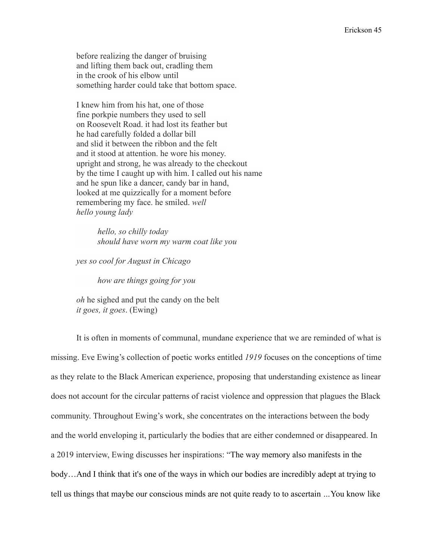before realizing the danger of bruising and lifting them back out, cradling them in the crook of his elbow until something harder could take that bottom space.

I knew him from his hat, one of those fine porkpie numbers they used to sell on Roosevelt Road. it had lost its feather but he had carefully folded a dollar bill and slid it between the ribbon and the felt and it stood at attention. he wore his money. upright and strong, he was already to the checkout by the time I caught up with him. I called out his name and he spun like a dancer, candy bar in hand, looked at me quizzically for a moment before remembering my face. he smiled. *well hello young lady*

> *hello, so chilly today should have worn my warm coat like you*

*yes so cool for August in Chicago*

*how are things going for you*

*oh* he sighed and put the candy on the belt *it goes, it goes*. (Ewing)

It is often in moments of communal, mundane experience that we are reminded of what is missing. Eve Ewing's collection of poetic works entitled *1919* focuses on the conceptions of time as they relate to the Black American experience, proposing that understanding existence as linear does not account for the circular patterns of racist violence and oppression that plagues the Black community. Throughout Ewing's work, she concentrates on the interactions between the body and the world enveloping it, particularly the bodies that are either condemned or disappeared. In a 2019 interview, Ewing discusses her inspirations: "The way memory also manifests in the body…And I think that it's one of the ways in which our bodies are incredibly adept at trying to tell us things that maybe our conscious minds are not quite ready to to ascertain *…*You know like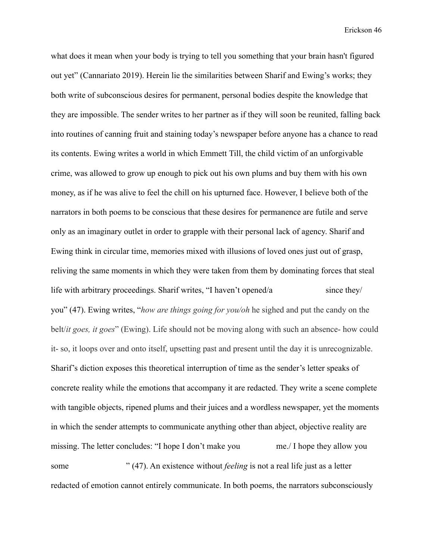what does it mean when your body is trying to tell you something that your brain hasn't figured out yet" (Cannariato 2019). Herein lie the similarities between Sharif and Ewing's works; they both write of subconscious desires for permanent, personal bodies despite the knowledge that they are impossible. The sender writes to her partner as if they will soon be reunited, falling back into routines of canning fruit and staining today's newspaper before anyone has a chance to read its contents. Ewing writes a world in which Emmett Till, the child victim of an unforgivable crime, was allowed to grow up enough to pick out his own plums and buy them with his own money, as if he was alive to feel the chill on his upturned face. However, I believe both of the narrators in both poems to be conscious that these desires for permanence are futile and serve only as an imaginary outlet in order to grapple with their personal lack of agency. Sharif and Ewing think in circular time, memories mixed with illusions of loved ones just out of grasp, reliving the same moments in which they were taken from them by dominating forces that steal life with arbitrary proceedings. Sharif writes, "I haven't opened/a since they/ you" (47). Ewing writes, "*how are things going for you/oh* he sighed and put the candy on the belt/*it goes, it goes*" (Ewing). Life should not be moving along with such an absence- how could it- so, it loops over and onto itself, upsetting past and present until the day it is unrecognizable. Sharif's diction exposes this theoretical interruption of time as the sender's letter speaks of concrete reality while the emotions that accompany it are redacted. They write a scene complete with tangible objects, ripened plums and their juices and a wordless newspaper, yet the moments in which the sender attempts to communicate anything other than abject, objective reality are missing. The letter concludes: "I hope I don't make you me./ I hope they allow you some " (47). An existence without *feeling* is not a real life just as a letter redacted of emotion cannot entirely communicate. In both poems, the narrators subconsciously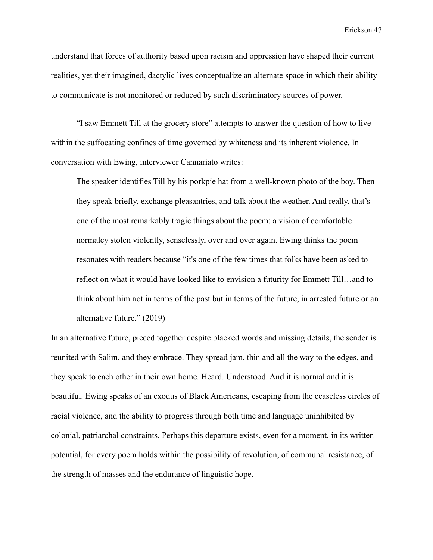understand that forces of authority based upon racism and oppression have shaped their current realities, yet their imagined, dactylic lives conceptualize an alternate space in which their ability to communicate is not monitored or reduced by such discriminatory sources of power.

"I saw Emmett Till at the grocery store" attempts to answer the question of how to live within the suffocating confines of time governed by whiteness and its inherent violence. In conversation with Ewing, interviewer Cannariato writes:

The speaker identifies Till by his porkpie hat from a well-known photo of the boy. Then they speak briefly, exchange pleasantries, and talk about the weather. And really, that's one of the most remarkably tragic things about the poem: a vision of comfortable normalcy stolen violently, senselessly, over and over again. Ewing thinks the poem resonates with readers because "it's one of the few times that folks have been asked to reflect on what it would have looked like to envision a futurity for Emmett Till…and to think about him not in terms of the past but in terms of the future, in arrested future or an alternative future." (2019)

In an alternative future, pieced together despite blacked words and missing details, the sender is reunited with Salim, and they embrace. They spread jam, thin and all the way to the edges, and they speak to each other in their own home. Heard. Understood. And it is normal and it is beautiful. Ewing speaks of an exodus of Black Americans, escaping from the ceaseless circles of racial violence, and the ability to progress through both time and language uninhibited by colonial, patriarchal constraints. Perhaps this departure exists, even for a moment, in its written potential, for every poem holds within the possibility of revolution, of communal resistance, of the strength of masses and the endurance of linguistic hope.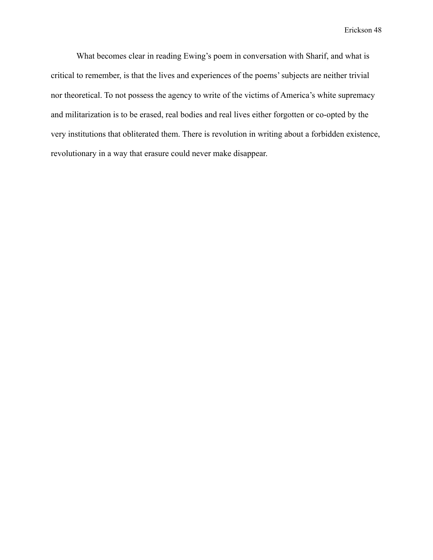What becomes clear in reading Ewing's poem in conversation with Sharif, and what is critical to remember, is that the lives and experiences of the poems' subjects are neither trivial nor theoretical. To not possess the agency to write of the victims of America's white supremacy and militarization is to be erased, real bodies and real lives either forgotten or co-opted by the very institutions that obliterated them. There is revolution in writing about a forbidden existence, revolutionary in a way that erasure could never make disappear.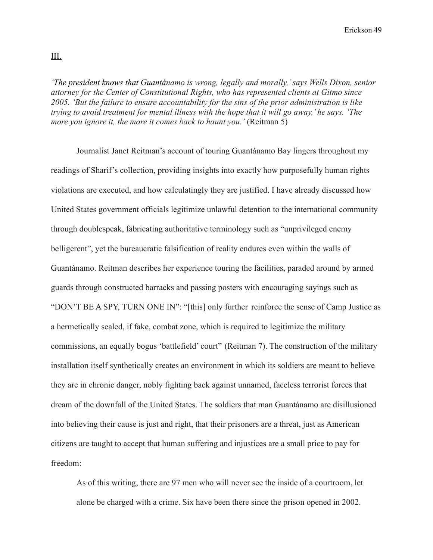*'The president knows that Guantánamo is wrong, legally and morally,' says Wells Dixon, senior attorney for the Center of Constitutional Rights, who has represented clients at Gitmo since 2005. 'But the failure to ensure accountability for the sins of the prior administration is like trying to avoid treatment for mental illness with the hope that it will go away,' he says. 'The more you ignore it, the more it comes back to haunt you.'* (Reitman 5)

Journalist Janet Reitman's account of touring Guantánamo Bay lingers throughout my readings of Sharif's collection, providing insights into exactly how purposefully human rights violations are executed, and how calculatingly they are justified. I have already discussed how United States government officials legitimize unlawful detention to the international community through doublespeak, fabricating authoritative terminology such as "unprivileged enemy belligerent", yet the bureaucratic falsification of reality endures even within the walls of Guantánamo. Reitman describes her experience touring the facilities, paraded around by armed guards through constructed barracks and passing posters with encouraging sayings such as "DON'T BE A SPY, TURN ONE IN": "[this] only further reinforce the sense of Camp Justice as a hermetically sealed, if fake, combat zone, which is required to legitimize the military commissions, an equally bogus 'battlefield' court" (Reitman 7). The construction of the military installation itself synthetically creates an environment in which its soldiers are meant to believe they are in chronic danger, nobly fighting back against unnamed, faceless terrorist forces that dream of the downfall of the United States. The soldiers that man Guantánamo are disillusioned into believing their cause is just and right, that their prisoners are a threat, just as American citizens are taught to accept that human suffering and injustices are a small price to pay for freedom:

As of this writing, there are 97 men who will never see the inside of a courtroom, let alone be charged with a crime. Six have been there since the prison opened in 2002.

III.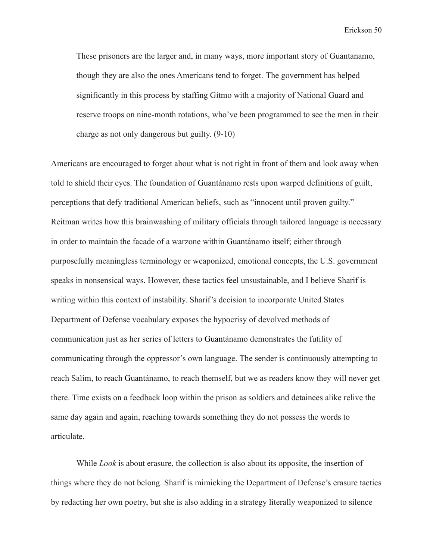These prisoners are the larger and, in many ways, more important story of Guantanamo, though they are also the ones Americans tend to forget. The government has helped significantly in this process by staffing Gitmo with a majority of National Guard and reserve troops on nine-month rotations, who've been programmed to see the men in their charge as not only dangerous but guilty. (9-10)

Americans are encouraged to forget about what is not right in front of them and look away when told to shield their eyes. The foundation of Guantánamo rests upon warped definitions of guilt, perceptions that defy traditional American beliefs, such as "innocent until proven guilty." Reitman writes how this brainwashing of military officials through tailored language is necessary in order to maintain the facade of a warzone within Guantánamo itself; either through purposefully meaningless terminology or weaponized, emotional concepts, the U.S. government speaks in nonsensical ways. However, these tactics feel unsustainable, and I believe Sharif is writing within this context of instability. Sharif's decision to incorporate United States Department of Defense vocabulary exposes the hypocrisy of devolved methods of communication just as her series of letters to Guantánamo demonstrates the futility of communicating through the oppressor's own language. The sender is continuously attempting to reach Salim, to reach Guantánamo, to reach themself, but we as readers know they will never get there. Time exists on a feedback loop within the prison as soldiers and detainees alike relive the same day again and again, reaching towards something they do not possess the words to articulate.

While *Look* is about erasure, the collection is also about its opposite, the insertion of things where they do not belong. Sharif is mimicking the Department of Defense's erasure tactics by redacting her own poetry, but she is also adding in a strategy literally weaponized to silence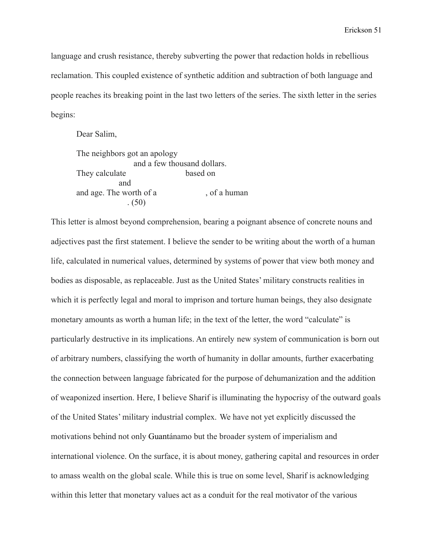language and crush resistance, thereby subverting the power that redaction holds in rebellious reclamation. This coupled existence of synthetic addition and subtraction of both language and people reaches its breaking point in the last two letters of the series. The sixth letter in the series begins:

Dear Salim, The neighbors got an apology and a few thousand dollars. They calculate based on and and age. The worth of a , of a human . (50)

This letter is almost beyond comprehension, bearing a poignant absence of concrete nouns and adjectives past the first statement. I believe the sender to be writing about the worth of a human life, calculated in numerical values, determined by systems of power that view both money and bodies as disposable, as replaceable. Just as the United States' military constructs realities in which it is perfectly legal and moral to imprison and torture human beings, they also designate monetary amounts as worth a human life; in the text of the letter, the word "calculate" is particularly destructive in its implications. An entirely new system of communication is born out of arbitrary numbers, classifying the worth of humanity in dollar amounts, further exacerbating the connection between language fabricated for the purpose of dehumanization and the addition of weaponized insertion. Here, I believe Sharif is illuminating the hypocrisy of the outward goals of the United States' military industrial complex. We have not yet explicitly discussed the motivations behind not only Guantánamo but the broader system of imperialism and international violence. On the surface, it is about money, gathering capital and resources in order to amass wealth on the global scale. While this is true on some level, Sharif is acknowledging within this letter that monetary values act as a conduit for the real motivator of the various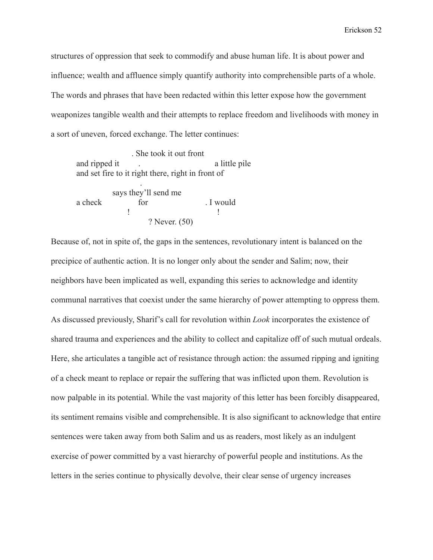structures of oppression that seek to commodify and abuse human life. It is about power and influence; wealth and affluence simply quantify authority into comprehensible parts of a whole. The words and phrases that have been redacted within this letter expose how the government weaponizes tangible wealth and their attempts to replace freedom and livelihoods with money in a sort of uneven, forced exchange. The letter continues:

. She took it out front and ripped it . The a little pile and set fire to it right there, right in front of . says they'll send me a check for for . I would ! **!**  $\mathbf{r} = \mathbf{r} \cdot \mathbf{r}$  **!** ? Never. (50)

Because of, not in spite of, the gaps in the sentences, revolutionary intent is balanced on the precipice of authentic action. It is no longer only about the sender and Salim; now, their neighbors have been implicated as well, expanding this series to acknowledge and identity communal narratives that coexist under the same hierarchy of power attempting to oppress them. As discussed previously, Sharif's call for revolution within *Look* incorporates the existence of shared trauma and experiences and the ability to collect and capitalize off of such mutual ordeals. Here, she articulates a tangible act of resistance through action: the assumed ripping and igniting of a check meant to replace or repair the suffering that was inflicted upon them. Revolution is now palpable in its potential. While the vast majority of this letter has been forcibly disappeared, its sentiment remains visible and comprehensible. It is also significant to acknowledge that entire sentences were taken away from both Salim and us as readers, most likely as an indulgent exercise of power committed by a vast hierarchy of powerful people and institutions. As the letters in the series continue to physically devolve, their clear sense of urgency increases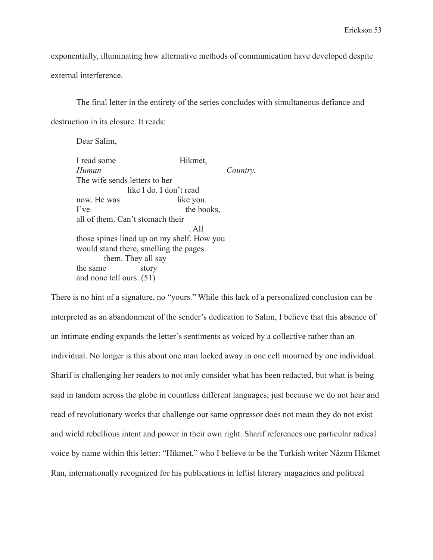exponentially, illuminating how alternative methods of communication have developed despite external interference.

The final letter in the entirety of the series concludes with simultaneous defiance and destruction in its closure. It reads:

Dear Salim,

I read some Hikmet. *Human Country.* The wife sends letters to her like I do. I don't read now. He was like you. I've the books, all of them. Can't stomach their . All those spines lined up on my shelf. How you would stand there, smelling the pages. them. They all say the same story and none tell ours. (51)

There is no hint of a signature, no "yours." While this lack of a personalized conclusion can be interpreted as an abandonment of the sender's dedication to Salim, I believe that this absence of an intimate ending expands the letter's sentiments as voiced by a collective rather than an individual. No longer is this about one man locked away in one cell mourned by one individual. Sharif is challenging her readers to not only consider what has been redacted, but what is being said in tandem across the globe in countless different languages; just because we do not hear and read of revolutionary works that challenge our same oppressor does not mean they do not exist and wield rebellious intent and power in their own right. Sharif references one particular radical voice by name within this letter: "Hikmet," who I believe to be the Turkish writer Nâzım Hikmet Ran, internationally recognized for his publications in leftist literary magazines and political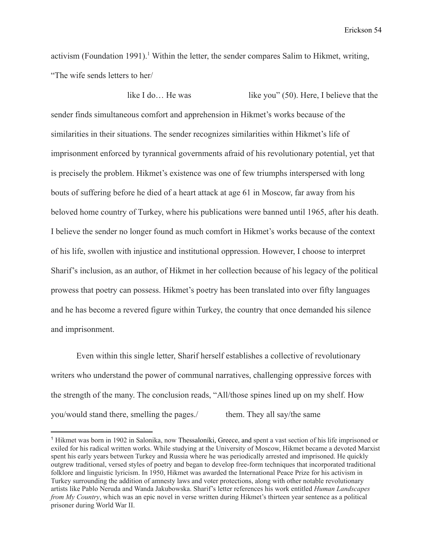activism (Foundation 1991).<sup>1</sup> Within the letter, the sender compares Salim to Hikmet, writing, "The wife sends letters to her/

like I do... He was like you" (50). Here, I believe that the sender finds simultaneous comfort and apprehension in Hikmet's works because of the similarities in their situations. The sender recognizes similarities within Hikmet's life of imprisonment enforced by tyrannical governments afraid of his revolutionary potential, yet that is precisely the problem. Hikmet's existence was one of few triumphs interspersed with long bouts of suffering before he died of a heart attack at age 61 in Moscow, far away from his beloved home country of Turkey, where his publications were banned until 1965, after his death. I believe the sender no longer found as much comfort in Hikmet's works because of the context of his life, swollen with injustice and institutional oppression. However, I choose to interpret Sharif's inclusion, as an author, of Hikmet in her collection because of his legacy of the political prowess that poetry can possess. Hikmet's poetry has been translated into over fifty languages and he has become a revered figure within Turkey, the country that once demanded his silence and imprisonment.

Even within this single letter, Sharif herself establishes a collective of revolutionary writers who understand the power of communal narratives, challenging oppressive forces with the strength of the many. The conclusion reads, "All/those spines lined up on my shelf. How you/would stand there, smelling the pages./ them. They all say/the same

<sup>1</sup> Hikmet was born in 1902 in Salonika, now Thessaloníki, Greece, and spent a vast section of his life imprisoned or exiled for his radical written works. While studying at the University of Moscow, Hikmet became a devoted Marxist spent his early years between Turkey and Russia where he was periodically arrested and imprisoned. He quickly outgrew traditional, versed styles of poetry and began to develop free-form techniques that incorporated traditional folklore and linguistic lyricism. In 1950, Hikmet was awarded the International Peace Prize for his activism in Turkey surrounding the addition of amnesty laws and voter protections, along with other notable revolutionary artists like Pablo Neruda and Wanda Jakubowska. Sharif's letter references his work entitled *Human Landscapes from My Country*, which was an epic novel in verse written during Hikmet's thirteen year sentence as a political prisoner during World War II.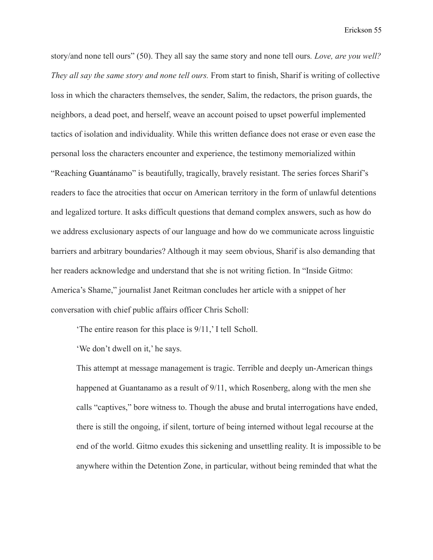story/and none tell ours" (50). They all say the same story and none tell ours*. Love, are you well? They all say the same story and none tell ours.* From start to finish, Sharif is writing of collective loss in which the characters themselves, the sender, Salim, the redactors, the prison guards, the neighbors, a dead poet, and herself, weave an account poised to upset powerful implemented tactics of isolation and individuality. While this written defiance does not erase or even ease the personal loss the characters encounter and experience, the testimony memorialized within "Reaching Guantánamo" is beautifully, tragically, bravely resistant. The series forces Sharif's readers to face the atrocities that occur on American territory in the form of unlawful detentions and legalized torture. It asks difficult questions that demand complex answers, such as how do we address exclusionary aspects of our language and how do we communicate across linguistic barriers and arbitrary boundaries? Although it may seem obvious, Sharif is also demanding that her readers acknowledge and understand that she is not writing fiction. In "Inside Gitmo: America's Shame," journalist Janet Reitman concludes her article with a snippet of her conversation with chief public affairs officer Chris Scholl:

'The entire reason for this place is 9/11,' I tell Scholl.

'We don't dwell on it,' he says.

This attempt at message management is tragic. Terrible and deeply un-American things happened at Guantanamo as a result of 9/11, which Rosenberg, along with the men she calls "captives," bore witness to. Though the abuse and brutal interrogations have ended, there is still the ongoing, if silent, torture of being interned without legal recourse at the end of the world. Gitmo exudes this sickening and unsettling reality. It is impossible to be anywhere within the Detention Zone, in particular, without being reminded that what the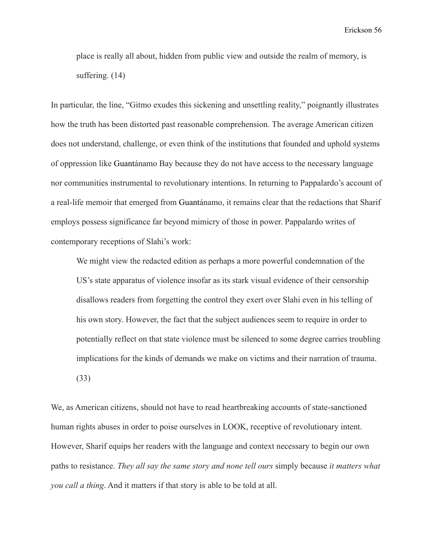place is really all about, hidden from public view and outside the realm of memory, is suffering. (14)

In particular, the line, "Gitmo exudes this sickening and unsettling reality," poignantly illustrates how the truth has been distorted past reasonable comprehension. The average American citizen does not understand, challenge, or even think of the institutions that founded and uphold systems of oppression like Guantánamo Bay because they do not have access to the necessary language nor communities instrumental to revolutionary intentions. In returning to Pappalardo's account of a real-life memoir that emerged from Guantánamo, it remains clear that the redactions that Sharif employs possess significance far beyond mimicry of those in power. Pappalardo writes of contemporary receptions of Slahi's work:

We might view the redacted edition as perhaps a more powerful condemnation of the US's state apparatus of violence insofar as its stark visual evidence of their censorship disallows readers from forgetting the control they exert over Slahi even in his telling of his own story. However, the fact that the subject audiences seem to require in order to potentially reflect on that state violence must be silenced to some degree carries troubling implications for the kinds of demands we make on victims and their narration of trauma. (33)

We, as American citizens, should not have to read heartbreaking accounts of state-sanctioned human rights abuses in order to poise ourselves in LOOK, receptive of revolutionary intent. However, Sharif equips her readers with the language and context necessary to begin our own paths to resistance. *They all say the same story and none tell ours* simply because *it matters what you call a thing*. And it matters if that story is able to be told at all.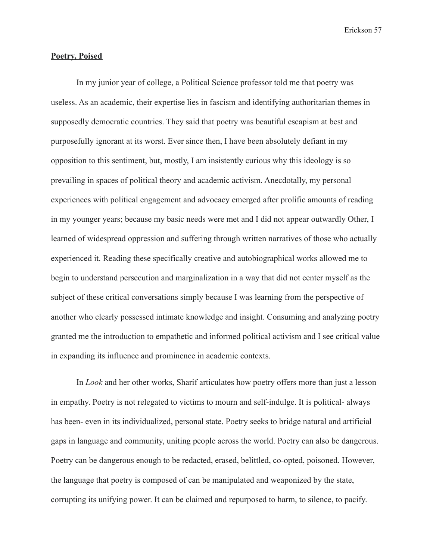#### **Poetry, Poised**

In my junior year of college, a Political Science professor told me that poetry was useless. As an academic, their expertise lies in fascism and identifying authoritarian themes in supposedly democratic countries. They said that poetry was beautiful escapism at best and purposefully ignorant at its worst. Ever since then, I have been absolutely defiant in my opposition to this sentiment, but, mostly, I am insistently curious why this ideology is so prevailing in spaces of political theory and academic activism. Anecdotally, my personal experiences with political engagement and advocacy emerged after prolific amounts of reading in my younger years; because my basic needs were met and I did not appear outwardly Other, I learned of widespread oppression and suffering through written narratives of those who actually experienced it. Reading these specifically creative and autobiographical works allowed me to begin to understand persecution and marginalization in a way that did not center myself as the subject of these critical conversations simply because I was learning from the perspective of another who clearly possessed intimate knowledge and insight. Consuming and analyzing poetry granted me the introduction to empathetic and informed political activism and I see critical value in expanding its influence and prominence in academic contexts.

In *Look* and her other works, Sharif articulates how poetry offers more than just a lesson in empathy. Poetry is not relegated to victims to mourn and self-indulge. It is political- always has been- even in its individualized, personal state. Poetry seeks to bridge natural and artificial gaps in language and community, uniting people across the world. Poetry can also be dangerous. Poetry can be dangerous enough to be redacted, erased, belittled, co-opted, poisoned. However, the language that poetry is composed of can be manipulated and weaponized by the state, corrupting its unifying power. It can be claimed and repurposed to harm, to silence, to pacify.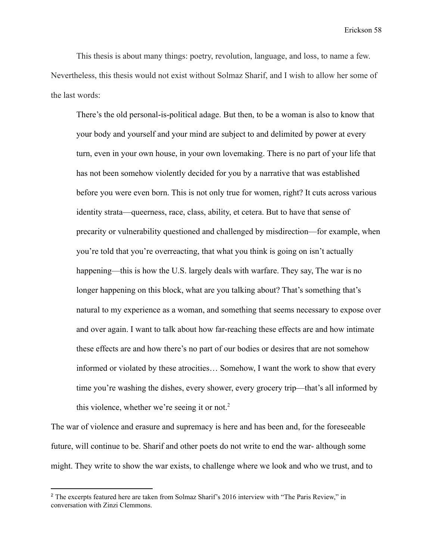This thesis is about many things: poetry, revolution, language, and loss, to name a few. Nevertheless, this thesis would not exist without Solmaz Sharif, and I wish to allow her some of the last words:

There's the old personal-is-political adage. But then, to be a woman is also to know that your body and yourself and your mind are subject to and delimited by power at every turn, even in your own house, in your own lovemaking. There is no part of your life that has not been somehow violently decided for you by a narrative that was established before you were even born. This is not only true for women, right? It cuts across various identity strata—queerness, race, class, ability, et cetera. But to have that sense of precarity or vulnerability questioned and challenged by misdirection—for example, when you're told that you're overreacting, that what you think is going on isn't actually happening—this is how the U.S. largely deals with warfare. They say, The war is no longer happening on this block, what are you talking about? That's something that's natural to my experience as a woman, and something that seems necessary to expose over and over again. I want to talk about how far-reaching these effects are and how intimate these effects are and how there's no part of our bodies or desires that are not somehow informed or violated by these atrocities… Somehow, I want the work to show that every time you're washing the dishes, every shower, every grocery trip—that's all informed by this violence, whether we're seeing it or not.<sup>2</sup>

The war of violence and erasure and supremacy is here and has been and, for the foreseeable future, will continue to be. Sharif and other poets do not write to end the war- although some might. They write to show the war exists, to challenge where we look and who we trust, and to

<sup>&</sup>lt;sup>2</sup> The excerpts featured here are taken from Solmaz Sharif's 2016 interview with "The Paris Review," in conversation with Zinzi Clemmons.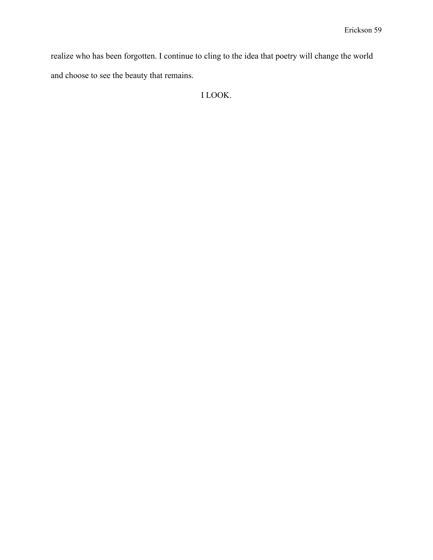realize who has been forgotten. I continue to cling to the idea that poetry will change the world and choose to see the beauty that remains.

I LOOK.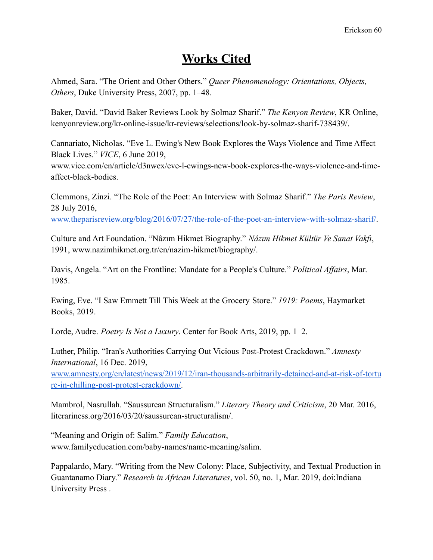# **Works Cited**

Ahmed, Sara. "The Orient and Other Others." *Queer Phenomenology: Orientations, Objects, Others*, Duke University Press, 2007, pp. 1–48.

Baker, David. "David Baker Reviews Look by Solmaz Sharif." *The Kenyon Review*, KR Online, kenyonreview.org/kr-online-issue/kr-reviews/selections/look-by-solmaz-sharif-738439/.

Cannariato, Nicholas. "Eve L. Ewing's New Book Explores the Ways Violence and Time Affect Black Lives." *VICE*, 6 June 2019,

www.vice.com/en/article/d3nwex/eve-l-ewings-new-book-explores-the-ways-violence-and-timeaffect-black-bodies.

Clemmons, Zinzi. "The Role of the Poet: An Interview with Solmaz Sharif." *The Paris Review*, 28 July 2016,

[www.theparisreview.org/blog/2016/07/27/the-role-of-the-poet-an-interview-with-solmaz-sharif/](http://www.theparisreview.org/blog/2016/07/27/the-role-of-the-poet-an-interview-with-solmaz-sharif/).

Culture and Art Foundation. "Nâzım Hikmet Biography." *Nâzım Hikmet Kültür Ve Sanat Vakfı*, 1991, www.nazimhikmet.org.tr/en/nazim-hikmet/biography/.

Davis, Angela. "Art on the Frontline: Mandate for a People's Culture." *Political Affairs*, Mar. 1985.

Ewing, Eve. "I Saw Emmett Till This Week at the Grocery Store." *1919: Poems*, Haymarket Books, 2019.

Lorde, Audre. *Poetry Is Not a Luxury*. Center for Book Arts, 2019, pp. 1–2.

Luther, Philip. "Iran's Authorities Carrying Out Vicious Post-Protest Crackdown." *Amnesty International*, 16 Dec. 2019,

[www.amnesty.org/en/latest/news/2019/12/iran-thousands-arbitrarily-detained-and-at-risk-of-tortu](http://www.amnesty.org/en/latest/news/2019/12/iran-thousands-arbitrarily-detained-and-at-risk-of-torture-in-chilling-post-protest-crackdown/) [re-in-chilling-post-protest-crackdown/.](http://www.amnesty.org/en/latest/news/2019/12/iran-thousands-arbitrarily-detained-and-at-risk-of-torture-in-chilling-post-protest-crackdown/)

Mambrol, Nasrullah. "Saussurean Structuralism." *Literary Theory and Criticism*, 20 Mar. 2016, literariness.org/2016/03/20/saussurean-structuralism/.

"Meaning and Origin of: Salim." *Family Education*, www.familyeducation.com/baby-names/name-meaning/salim.

Pappalardo, Mary. "Writing from the New Colony: Place, Subjectivity, and Textual Production in Guantanamo Diary." *Research in African Literatures*, vol. 50, no. 1, Mar. 2019, doi:Indiana University Press .